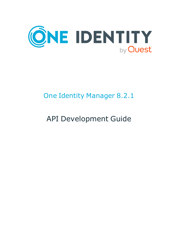

# One Identity Manager 8.2.1

# API Development Guide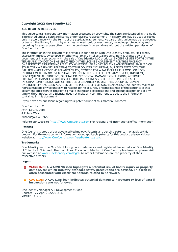#### **Copyright 2022 One Identity LLC.**

#### **ALL RIGHTS RESERVED.**

This guide contains proprietary information protected by copyright. The software described in this guide is furnished under a software license or nondisclosure agreement. This software may be used or copied only in accordance with the terms of the applicable agreement. No part of this guide may be reproduced or transmitted in any form or by any means, electronic or mechanical, including photocopying and recording for any purpose other than the purchaser's personal use without the written permission of One Identity LLC .

The information in this document is provided in connection with One Identity products. No license, express or implied, by estoppel or otherwise, to any intellectual property right is granted by this document or in connection with the sale of One Identity LLC products. EXCEPT AS SET FORTH IN THE TERMS AND CONDITIONS AS SPECIFIED IN THE LICENSE AGREEMENT FOR THIS PRODUCT, ONE IDENTITY ASSUMES NO LIABILITY WHATSOEVER AND DISCLAIMS ANY EXPRESS, IMPLIED OR STATUTORY WARRANTY RELATING TO ITS PRODUCTS INCLUDING, BUT NOT LIMITED TO, THE IMPLIED WARRANTY OF MERCHANTABILITY, FITNESS FOR A PARTICULAR PURPOSE, OR NON-INFRINGEMENT. IN NO EVENT SHALL ONE IDENTITY BE LIABLE FOR ANY DIRECT, INDIRECT, CONSEQUENTIAL, PUNITIVE, SPECIAL OR INCIDENTAL DAMAGES (INCLUDING, WITHOUT LIMITATION, DAMAGES FOR LOSS OF PROFITS, BUSINESS INTERRUPTION OR LOSS OF INFORMATION) ARISING OUT OF THE USE OR INABILITY TO USE THIS DOCUMENT, EVEN IF ONE IDENTITY HAS BEEN ADVISED OF THE POSSIBILITY OF SUCH DAMAGES. One Identity makes no representations or warranties with respect to the accuracy or completeness of the contents of this document and reserves the right to make changes to specifications and product descriptions at any time without notice. One Identity does not make any commitment to update the information contained in this document.

If you have any questions regarding your potential use of this material, contact:

One Identity LLC. Attn: LEGAL Dept 4 Polaris Way Aliso Viejo, CA 92656

Refer to our Web site ([http://www.OneIdentity.com](http://www.oneidentity.com/)) for regional and international office information.

#### **Patents**

One Identity is proud of our advanced technology. Patents and pending patents may apply to this product. For the most current information about applicable patents for this product, please visit our website at [http://www.OneIdentity.com/legal/patents.aspx](http://www.oneidentity.com/legal/patents.aspx).

#### **Trademarks**

One Identity and the One Identity logo are trademarks and registered trademarks of One Identity LLC. in the U.S.A. and other countries. For a complete list of One Identity trademarks, please visit our website at [www.OneIdentity.com/legal](http://www.oneidentity.com/legal). All other trademarks are the property of their respective owners.

#### **Legend**

**WARNING: A WARNING icon highlights a potential risk of bodily injury or property damage, for which industry-standard safety precautions are advised. This icon is often associated with electrical hazards related to hardware.**

**CAUTION: A CAUTION icon indicates potential damage to hardware or loss of data if** A **instructions are not followed.**

One Identity Manager API Development Guide Updated - 27 April 2022, 01:16 Version - 8.2.1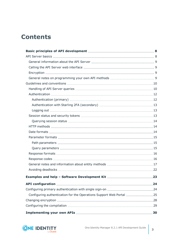## **Contents**

| Configuring authentication for the Operations Support Web Portal 25 |  |
|---------------------------------------------------------------------|--|
|                                                                     |  |
|                                                                     |  |
|                                                                     |  |

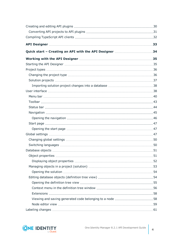| Quick start - Creating an API with the API Designer 34 |  |
|--------------------------------------------------------|--|
|                                                        |  |
|                                                        |  |
|                                                        |  |
|                                                        |  |
|                                                        |  |
|                                                        |  |
|                                                        |  |
|                                                        |  |
|                                                        |  |
|                                                        |  |
|                                                        |  |
|                                                        |  |
|                                                        |  |
|                                                        |  |
|                                                        |  |
|                                                        |  |
|                                                        |  |
|                                                        |  |
|                                                        |  |
|                                                        |  |
|                                                        |  |
|                                                        |  |
|                                                        |  |
|                                                        |  |
|                                                        |  |
|                                                        |  |
|                                                        |  |
|                                                        |  |
|                                                        |  |

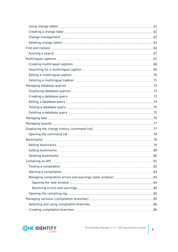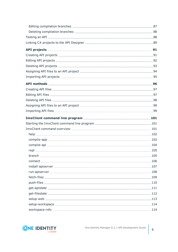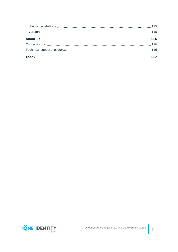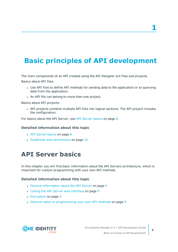**1**

# <span id="page-7-0"></span>**Basic principles of API development**

The main components of an API created using the API Designer are files and projects.

Basics about API files:

- Use API files to define API methods for sending data to the application or to querying data from the application.
- An API file can belong to more than one project.

Basics about API projects:

• API projects combine multiple API files into logical sections. The API project includes the configuration.

For basics about the API Server, see API [Server](#page-7-1) basics on page 8.

#### **Detailed information about this topic**

- API [Server](#page-7-1) basics on page 8
- <span id="page-7-1"></span>**.** Guidelines and [conventions](#page-9-0) on page 10

## **API Server basics**

In this chapter you will find basic information about the API Servers architecture, which is important for custom programming with your own API methods.

#### **Detailed information about this topic**

- General [information](#page-8-0) about the API Server on page 9
- Calling the API Server web [interface](#page-8-1) on page 9
- [Encryption](#page-8-2) on page 9
- General notes on [programming](#page-8-3) your own API methods on page 9

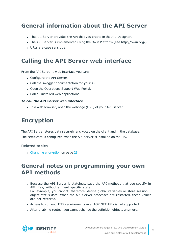## <span id="page-8-0"></span>**General information about the API Server**

- The API Server provides the API that you create in the API Designer.
- The API Server is implemented using the Owin Platform (see http://owin.org/).
- URLs are case sensitive.

### <span id="page-8-1"></span>**Calling the API Server web interface**

From the API Server's web interface you can:

- Configure the API Server.
- Call the swagger documentation for your API.
- Open the Operations Support Web Portal.
- Call all installed web applications.

#### *To call the API Server web interface*

• In a web browser, open the webpage (URL) of your API Server.

## <span id="page-8-2"></span>**Encryption**

The API Server stores data securely encrypted on the client and in the database. The certificate is configured when the API server is installed on the IIS.

#### **Related topics**

<span id="page-8-3"></span>• Changing [encryption](#page-27-0) on page 28

### **General notes on programming your own API methods**

- Because the API Server is stateless, save the API methods that you specify in API files, without a client specific state. For example, you cannot, therefore, define global variables or store session object status data. When the API Server processes are restarted, these values are not restored.
- Access to current HTTP requirements over ASP.NET APIs is not supported.
- After enabling routes, you cannot change the definition objects anymore.

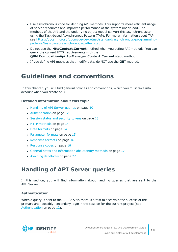- Use asynchronous code for defining API methods. This supports more efficient usage of server resources and improves performance of the system under load. The methods of the API and the underlying object model convert this asynchronousity using the Task-based Asynchronous Pattern (TAP). For more information about TAP, see [https://docs.microsoft.com/de-de/dotnet/standard/asynchronous-programming](https://docs.microsoft.com/de-de/dotnet/standard/asynchronous-programming-patterns/task-based-asynchronous-pattern-tap)[patterns/task-based-asynchronous-pattern-tap](https://docs.microsoft.com/de-de/dotnet/standard/asynchronous-programming-patterns/task-based-asynchronous-pattern-tap).
- **.** Do not use the **HttpContext.Current** method when you define API methods. You can query the current HTTP requirements with the **QBM.CompositionApi.ApiManager.Context.Current** static method.
- <sup>l</sup> If you define API methods that modify data, do NOT use the **GET** method.

## <span id="page-9-0"></span>**Guidelines and conventions**

In this chapter, you will find general policies and conventions, which you must take into account when you create an API.

#### **Detailed information about this topic**

- [Handling](#page-9-1) of API Server queries on page 10
- [Authentication](#page-11-0) on page 12
- Session status and [security](#page-12-2) tokens on page 13
- HTTP [methods](#page-13-1) on page 14
- Date [formats](#page-13-2) on page 14
- [Parameter](#page-14-0) formats on page 15
- $\cdot$  [Response](#page-15-0) formats on page 16
- [Response](#page-15-1) codes on page 16
- General notes and [information](#page-16-0) about entity methods on page 17
- Avoiding [deadlocks](#page-21-0) on page 22

## <span id="page-9-1"></span>**Handling of API Server queries**

In this section, you will find information about handling queries that are sent to the API Server.

#### **Authentication**

When a query is sent to the API Server, there is a test to ascertain the success of the primary and, possibly, secondary login in the session for the current project (see [Authentication](#page-11-0) on page 12).

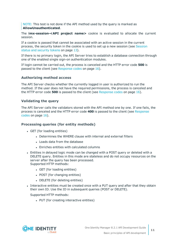NOTE: This test is not done if the API method used by the query is marked as **AllowUnauthenticated**.

The **imx-session-<API project name>** cookie is evaluated to allocate the current session.

If a cookie is passed that cannot be associated with an active session in the current process, the security token in the cookie is used to set up a new session (see [Session](#page-12-2) status and [security](#page-12-2) tokens on page 13).

If there is no primary login, the API Server tries to establish a database connection through one of the enabled single sign-on authentication modules.

If login cannot be carried out, the process is canceled and the HTTP error code **500** is passed to the client (see [Response](#page-15-1) codes on page 16).

#### **Authorizing method access**

The API Server checks whether the currently logged in user is authorized to run the method. If the user does not have the required permissions, the process is canceled and the HTTP error code **500** is passed to the client (see [Response](#page-15-1) codes on page 16).

#### **Validating the query**

The API Server calls the validators stored with the API method one by one. If one fails, the process is canceled and the HTTP error code **400** is passed to the client (see [Response](#page-15-1) [codes](#page-15-1) on page 16).

#### **Processing queries (for entity methods)**

- GET (for loading entities)
	- . Determines the WHERE clause with internal and external filters
	- Loads data from the database
	- <sup>l</sup> Enriches entities with calculated columns
- <sup>l</sup> Entities in delayed logic mode can be changed with a POST query or deleted with a DELETE query. Entities in this mode are stateless and do not occupy resources on the server after the query has been processed. Supported HTTP methods:
	- GET (for loading entities)
	- POST (for changing entities)
	- DELETE (for deleting entities)
- Interactive entities must be created once with a PUT query and after that they obtain their own ID. Use the ID in subsequent queries (POST or DELETE).

Supported HTTP methods:

• PUT (for creating interactive entities)

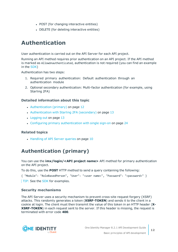- POST (for changing interactive entities)
- DELETE (for deleting interactive entities)

## <span id="page-11-0"></span>**Authentication**

User authentication is carried out on the API Server for each API project.

Running an API method requires prior authentication on an API project. If the API method is marked as AllowUnauthenticated, authentication is not required (you can find an example in the [SDK](#page-22-0))

Authentication has two steps:

- 1. Required primary authentication: Default authentication through an authentication module
- 2. Optional secondary authentication: Multi-factor authentication (for example, using Starling 2FA)

#### **Detailed information about this topic**

- [Authentication](#page-11-1) (primary) on page 12
- [Authentication](#page-12-0) with Starling 2FA (secondary) on page 13
- [Logging](#page-12-1) out on page 13
- Configuring primary [authentication](#page-23-1) with single sign-on on page 24

#### **Related topics**

• [Handling](#page-9-1) of API Server queries on page 10

### <span id="page-11-1"></span>**Authentication (primary)**

You can use the **imx/login/<API project name>** API method for primary authentication on the API project.

To do this, use the **POST** HTTP method to send a query containing the following:

{ "Module": "RoleBasedPerson", "User": "<user name>", "Password": "<password>" } TIP: See the [SDK](#page-22-0) for examples.

#### **Security mechanisms**

The API Server uses a security mechanism to prevent cross-site request forgery (XSRF) attacks. This randomly generates a token (**XSRF-TOKEN**) and sends it to the client in a cookie at login. The client must then transmit the value of this token in an HTTP header (**X-XSRF-TOKEN**) in each request sent to the server. If this header is missing, the request is terminated with error code **400**.

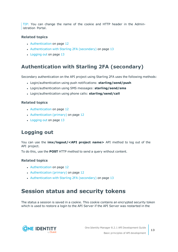TIP: You can change the name of the cookie and HTTP header in the Administration Portal.

#### **Related topics**

- [Authentication](#page-11-0) on page 12
- [Authentication](#page-12-0) with Starling 2FA (secondary) on page 13
- $\cdot$  [Logging](#page-12-1) out on page 13

### <span id="page-12-0"></span>**Authentication with Starling 2FA (secondary)**

Secondary authentication on the API project using Starling 2FA uses the following methods:

- <sup>l</sup> Login/authentication using push notifications: **starling/send/push**
- <sup>l</sup> Login/authentication using SMS messages: **starling/send/sms**
- <sup>l</sup> Login/authentication using phone calls: **starling/send/call**

#### **Related topics**

- [Authentication](#page-11-0) on page 12
- [Authentication](#page-11-1) (primary) on page 12
- $\cdot$  [Logging](#page-12-1) out on page 13

### <span id="page-12-1"></span>**Logging out**

You can use the **imx/logout/<API project name>** API method to log out of the API project.

To do this, use the **POST** HTTP method to send a query without content.

#### **Related topics**

- [Authentication](#page-11-0) on page 12
- [Authentication](#page-11-1) (primary) on page 12
- [Authentication](#page-12-0) with Starling 2FA (secondary) on page 13

## <span id="page-12-2"></span>**Session status and security tokens**

The status a session is saved in a cookie. This cookie contains an encrypted security token which is used to restore a login to the API Server if the API Server was restarted in the

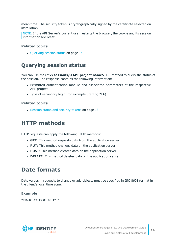mean time. The security token is cryptographically signed by the certificate selected on installation.

NOTE: If the API Server's current user restarts the browser, the cookie and its session information are reset.

#### **Related topics**

• [Querying](#page-13-0) session status on page 14

### <span id="page-13-0"></span>**Querying session status**

You can use the **imx/sessions/<API project name>** API method to query the status of the session. The response contains the following information:

- Permitted authentication module and associated parameters of the respective API project.
- Type of secondary login (for example Starling 2FA).

#### **Related topics**

• Session status and [security](#page-12-2) tokens on page 13

### <span id="page-13-1"></span>**HTTP methods**

HTTP requests can apply the following HTTP methods:

- **GET**: This method requests data from the application server.
- **PUT**: This method changes data on the application server.
- **POST**: This method creates data on the application server.
- **.** DELETE: This method deletes data on the application server.

### <span id="page-13-2"></span>**Date formats**

Date values in requests to change or add objects must be specified in ISO 8601 format in the client's local time zone.

#### **Example**

2016-03-19T13:09:08.123Z

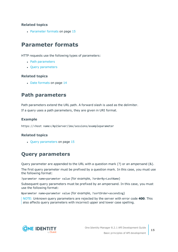#### **Related topics**

• [Parameter](#page-14-0) formats on page 15

## <span id="page-14-0"></span>**Parameter formats**

HTTP requests use the following types of parameters:

- Path [parameters](#page-14-1)
- Query [parameters](#page-14-2)

#### **Related topics**

• Date [formats](#page-13-2) on page 14

### <span id="page-14-1"></span>**Path parameters**

Path parameters extend the URL path. A forward slash is used as the delimiter. If a query uses a path parameters, they are given in URI format.

#### **Example**

https://<host name>/ApiServer/imx/sessions/exampleparameter

#### **Related topics**

 $\cdot$  Query [parameters](#page-14-2) on page 15

### <span id="page-14-2"></span>**Query parameters**

Query parameter are appended to the URL with a question mark (?) or an ampersand (&).

The first query parameter must be prefixed by a question mark. In this case, you must use the following format:

?parameter name=parameter value (for example, ?orderBy=LastName)

Subsequent query parameters must be prefixed by an ampersand. In this case, you must use the following format:

&parameter name=parameter value (for example, ?sortOrder=ascending)

NOTE: Unknown query parameters are rejected by the server with error code **400**. This also affects query parameters with incorrect upper and lower case spelling.

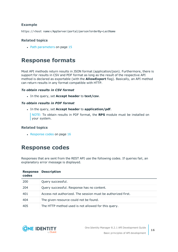#### **Example**

https://<host name>/AppServer/portal/person?orderBy=LastName

#### **Related topics**

• Path [parameters](#page-14-1) on page 15

### <span id="page-15-0"></span>**Response formats**

Most API methods return results in JSON format (application/json). Furthermore, there is support for results in CSV and PDF format as long as the result of the respective API method is declared as exportable (with the **AllowExport** flag). Basically, an API method can return results in any format compatible with HTTP.

#### *To obtain results in CSV format*

<sup>l</sup> In the query, set **Accept header** to **text/csv**.

#### *To obtain results in PDF format*

<sup>l</sup> In the query, set **Accept header** to **application/pdf**.

NOTE: To obtain results in PDF format, the **RPS** module must be installed on your system.

#### **Related topics**

 $\cdot$  [Response](#page-15-1) codes on page 16

### <span id="page-15-1"></span>**Response codes**

Responses that are sent from the REST API use the following codes. If queries fail, an explanatory error message is displayed.

| <b>Response</b><br>codes | <b>Description</b>                                           |
|--------------------------|--------------------------------------------------------------|
| 200                      | Query successful.                                            |
| 204                      | Query successful. Response has no content.                   |
| 401                      | Access not authorized. The session must be authorized first. |
| 404                      | The given resource could not be found.                       |
| 405                      | The HTTP method used is not allowed for this query.          |

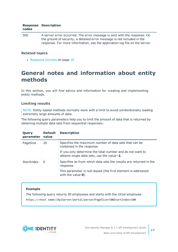| codes | <b>Response Description</b>                                                                                                                                                                                                        |
|-------|------------------------------------------------------------------------------------------------------------------------------------------------------------------------------------------------------------------------------------|
| 500   | A server error occurred. The error message is sent with the response. On<br>the ground of security, a detailed error message is not included in the<br>response. For more information, see the application log file on the server. |

#### **Related topics**

 $\cdot$  [Response](#page-15-0) formats on page 16

## <span id="page-16-0"></span>**General notes and information about entity methods**

In this section, you will find advice and information for creating and implementing entity methods.

#### **Limiting results**

NOTE: Entity-based methods normally work with a limit to avoid unintentionally loading extremely large amounts of data.

The following query parameters help you to limit the amount of data that is returned by obtaining multiple data sets from sequential responses:

| Query<br>parameter | <b>Default</b><br>value | <b>Description</b>                                                                                       |
|--------------------|-------------------------|----------------------------------------------------------------------------------------------------------|
| PageSize           | 20                      | Specifies the maximum number of data sets that can be<br>contained in the response.                      |
|                    |                         | If you only determine the total number and do not want to<br>obtains single data sets, use the value -1. |
| StartIndex         | $\Omega$                | Specifies as from which data sets the results are returned in the<br>response.                           |
|                    |                         | This parameter is null-based (the first element is addressed<br>with the value $\mathbf{0}$ ).           |

#### **Example**

The following query returns 50 employees and starts with the 101st employee:

https://<host name>/ApiServer/portal/person?PageSize=50&StartIndex=100

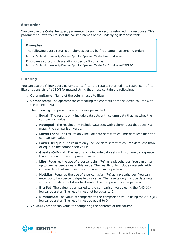#### **Sort order**

You can use the **Orderby** query parameter to sort the results returned in a response. This parameter allows you to sort the column names of the underlying database table.

#### **Examples**

The following query returns employees sorted by first name in ascending order:

https://<host name>/ApiServer/portal/person?OrderBy=FirstName

Employees sorted in descending order by first name: https://<host name>/ApiServer/portal/person?OrderBy=FirstName%20DESC

#### **Filtering**

You can use the **filter** query parameter to filter the results returned in a response. A filter like this consists of a JSON formatted string that must contain the following:

- **ColumnName:** Name of the column used to filter
- **CompareOp**: The operator for comparing the contents of the selected column with the expected value

The following comparison operators are permitted:

- **Equal**: The results only include data sets with column data that matches the comparison value.
- **NotEqual**: The results only include data sets with column data that does NOT match the comparison value.
- **LowerThan**: The results only include data sets with column data less than the comparison value.
- **LowerOrEqual:** The results only include data sets with column data less than or equal to the comparison value.
- **GreaterOrEqual:** The results only include data sets with column data greater than or equal to the comparison value.
- **Like**: Requires the use of a percent sign (%) as a placeholder. You can enter up to two percent signs in this value. The results only include data sets with column data that matches the comparison value pattern.
- **· NotLike**: Requires the use of a percent sign (%) as a placeholder. You can enter up to two percent signs in this value. The results only include data sets with column data that does NOT match the comparison value pattern.
- **BitsSet**: The value is compared to the comparison value using the AND (&) logical operator. The result must not be equal to 0.
- **BitsNotSet**: The value is compared to the comparison value using the AND (&) logical operator. The result must be equal to 0.
- **Value1**: Comparison value for comparing the contents of the column

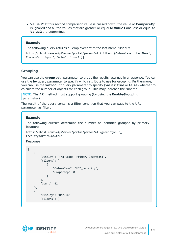**• Value 2:** If this second comparison value is passed down, the value of **CompareOp** is ignored and all the values that are greater or equal to **Value1** and less or equal to **Value2** are determined.

#### **Example**

The following query returns all employees with the last name "User1":

```
https://<host name>/ApiServer/portal/person/all?filter=[{ColumnName: 'LastName',
CompareOp: 'Equal', Value1: 'User1'}]
```
#### **Grouping**

You can use the **group** path parameter to group the results returned in a response. You can use the **by** query parameter to specify which attribute to use for grouping. Furthermore, you can use the **withcount** query parameter to specify (values: **true** or **false**) whether to calculate the number of objects for each group. This may increase the runtime.

NOTE: The API method must support grouping (by using the **EnableGrouping** parameter).

The result of the query contains a filter condition that you can pass to the URL parameter as filter.

#### **Example**

The following queries determine the number of identities grouped by primary location:

```
https://<host name>/ApiServer/portal/person/all/group?by=UID_
Locality&withcount=true
```
Response:

```
{
    {
        "Display": "(No value: Primary location)",
        "Filters": [
            {
                "ColumnName": "UID_Locality",
                "CompareOp": 0
            }
        ],
        "Count": 42
    },
    {
        "Display": "Berlin",
        "Filters": [
```
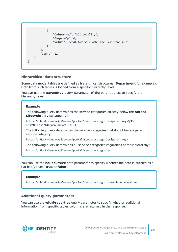```
{
                "ColumnName": "UID_Locality",
                "CompareOp": 0,
                "Value1": "c644f672-566b-4ab0-bac0-2ad07b6cf457"
            }
        ],
        "Count": 12
   }
}
```
#### **Hierarchical data structure**

Some data model tables are defined as hierarchical structures (**Department** for example). Data from such tables is loaded from a specific hierarchy level.

You can use the **parentKey** query parameter of the parent object to specify the hierarchy level.

#### **Example**

The following query determines the service categories directly below the **Access Lifecycle** service category:

https://<host name>/ApiServer/portal/servicecategories?parentKey=QERf33d9f6ec3e744a3ab69a474c10f6ff4

The following query determines the service categories that do not have a parent service category:

https://<Host-Name>/ApiServer/portal/servicecategories?parentKey=

The following query determines all service categories regardless of their hierarchy:

https://<Host-Name>/ApiServer/portal/servicecategories

You can use the **noRecursive** path parameter to specify whether the data is queried as a flat list (values: **true** or **false**).

#### **Example**

https://<host name>/ApiServer/portal/servicecategories?noRecursive=true

#### **Additional query parameters**

You can use the **withProperties** query parameter to specify whether additional information from specific tables columns are returned in the response.

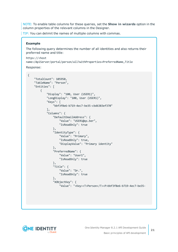NOTE: To enable table columns for these queries, set the **Show in wizards** option in the column properties of the relevant columns in the Designer.

TIP: You can delimit the names of multiple columns with commas.

#### **Example**

The following query determines the number of all identities and also returns their preferred name and title:

```
https://<host
name>/ApiServer/portal/person/all?withProperties=PreferredName,Title
```

```
Response:
```
{

```
"TotalCount": 105950,
"TableName": "Person",
"Entities": [
   {
        "Display": "100, User (USER1)",
        "LongDisplay": "100, User (USER1)",
        "Keys": [
            "bbf3f8e6-b719-4ec7-be35-cbd6383ef370"
        ],
        "Columns": {
            "DefaultEmailAddress": {
                "Value": "USER1@qs.ber",
                "IsReadOnly": true
            },
            "IdentityType": {
                "Value": "Primary",
                "IsReadOnly": true,
                "DisplayValue": "Primary identity"
            },
            "PreferredName": {
                "Value": "User1",
                "IsReadOnly": true
            },
            "Title": {
                "Value": "Dr.",
                "IsReadOnly": true
            },
            "XObjectKey": {
                "Value": "<Key><T>Person</T><P>bbf3f8e6-b719-4ec7-be35-
```
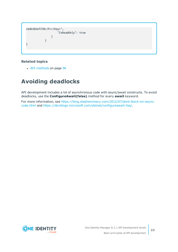```
cbd6383ef370</P></Key>",
                    "IsReadOnly": true
                }
            }
}
```
#### **Related topics**

• API [methods](#page-95-0) on page 96

## <span id="page-21-0"></span>**Avoiding deadlocks**

API development includes a lot of asynchronous code with async/await constructs. To avoid deadlocks, use the **ConfigureAwait(false)** method for every **await** keyword.

For more information, see [https://blog.stephencleary.com/2012/07/dont-block-on-async](https://blog.stephencleary.com/2012/07/dont-block-on-async-code.html)[code.html](https://blog.stephencleary.com/2012/07/dont-block-on-async-code.html) and [https://devblogs.microsoft.com/dotnet/configureawait-faq/.](https://devblogs.microsoft.com/dotnet/configureawait-faq/)

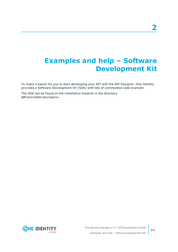## <span id="page-22-0"></span>**Examples and help – Software Development Kit**

To make it easier for you to start developing your API with the API Designer, One Identity provides a Software Development Kit (SDK) with lots of commented code example.

The SDK can be found on the installation medium in the directory QBM\dvd\AddOn\ApiSamples.

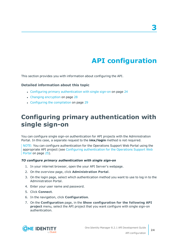# **API configuration**

<span id="page-23-0"></span>This section provides you with information about configuring the API.

#### **Detailed information about this topic**

- Configuring primary [authentication](#page-23-1) with single sign-on on page 24
- Changing [encryption](#page-27-0) on page 28
- Configuring the [compilation](#page-28-0) on page 29

## <span id="page-23-1"></span>**Configuring primary authentication with single sign-on**

You can configure single sign-on authentication for API projects with the Administration Portal. In this case, a separate request to the **imx/login** method is not required.

NOTE: You can configure authentication for the Operations Support Web Portal using the appropriate API project (see Configuring [authentication](#page-24-0) for the Operations Support Web [Portal](#page-24-0) on page 25).

#### *TO configure primary authentication with single sign-on*

- 1. In your internet browser, open the your API Server's webpage.
- 2. On the overview page, click **Administration Portal**.
- 3. On the login page, select which authentication method you want to use to log in to the Administration Portal.
- 4. Enter your user name and password.
- 5. Click **Connect**.
- 6. In the navigation, click **Configuration**.
- 7. On the **Configuration** page, in the **Show configuration for the following API project** menu, select the API project that you want configure with single sign-on authentication.

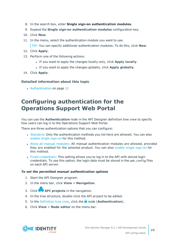- 8. In the search box, enter **Single sign-on authentication modules**.
- 9. Expand the **Single sign-on authentication modules** configuration key.
- 10. Click **New**.
- 11. In the menu, select the authentication module you want to use.

TIP: You can specify additional authentication modules. To do this, click **New**.

- 12. Click **Apply**.
- 13. Perform one of the following actions:
	- <sup>l</sup> If you want to apply the changes locally only, click **Apply locally**.
	- <sup>l</sup> If you want to apply the changes globally, click **Apply globally**.
- 14. Click **Apply**.

#### **Detailed information about this topic**

• [Authentication](#page-11-0) on page 12

## <span id="page-24-0"></span>**Configuring authentication for the Operations Support Web Portal**

You can use the **Authentication** node in the API Designer definition tree view to specify how users can log in to the Operations Support Web Portal.

There are three authentication options that you can configure:

- [Standard](#page-24-1): Only the authentication methods you list here are allowed. You can also enable single [sign-on](#page-26-0) for this method.
- Allow all manual [modules](#page-25-0): All manual authentication modules are allowed, provided they are enabled for the selected product. You can also enable single [sign-on](#page-26-0) for this method.
- <sup>l</sup> Fixed [credentials](#page-26-1): This setting allows you to log in to the API with stored login credentials. To use this option, the login data must be stored in the web.config files on each API server.

#### <span id="page-24-1"></span>*To set the permitted manual authentication options*

- 1. Start the API Designer program.
- 2. In the menu bar, click **View** > **Navigation**.
- 3. Click **API projects** in the navigation.
- 4. In the tree structure, double-click the API project to be edited.
- 5. In the [Definition](#page-53-1) tree view, click the **n** node (**Authentication**).
- 6. Click **View** > **Node editor** on the menu bar.

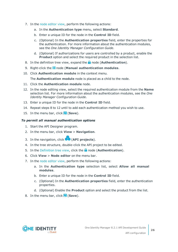- 7. In the node [editor](#page-59-0) view, perform the following actions:
	- a. In the **Authentication type** menu, select **Standard**.
	- b. Enter a unique ID for the node in the **Control ID** field.
	- c. (Optional) In the **Authentication properties** field, enter the properties for the authentication. For more information about the authentication modules, see the *One Identity Manager Configuration Guide*.
	- d. (Optional) If authorizations for users are controlled by a product, enable the **Product** option and select the required product in the selection list.
- 8. In the definition tree view, expand the **n** node (**Authentication**).
- 9. Right-click the node (**Manual authentication modules**.
- 10. Click **Authentication module** in the context menu.

The **Authentication module** node is placed as a child to the node.

- 11. Click the **Authentication module** node.
- 12. In the node editing view, select the required authentication module from the **Name** selection list. For more information about the authentication modules, see the *One Identity Manager Configuration Guide*.
- 13. Enter a unique ID for the node in the **Control ID** field.
- 14. Repeat steps 8 to 12 until to add each authentication method you wish to use.
- 15. In the menu bar, click **F** (Save).

#### <span id="page-25-0"></span>*To permit all manual authentication options*

- 1. Start the API Designer program.
- 2. In the menu bar, click **View** > **Navigation**.
- 3. In the navigation, click (**API projects**).
- 4. In the tree structure, double-click the API project to be edited.
- 5. In the [Definition](#page-53-1) tree view, click the **n** node (**Authentication**).
- 6. Click **View** > **Node editor** on the menu bar.
- 7. In the node [editor](#page-59-0) view, perform the following actions:
	- a. In the **Authentication type** selection list, select **Allow all manual modules**.
	- b. Enter a unique ID for the node in the **Control ID** field.
	- c. (Optional) In the **Authentication properties** field, enter the authentication properties.
	- d. (Optional) Enable the **Product** option and select the product from the list.
- 8. In the menu bar, click (**Save**).

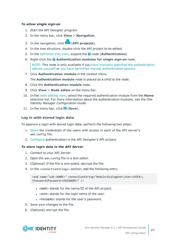#### <span id="page-26-0"></span>*To allow single sign-on*

- 1. Start the API Designer program.
- 2. In the menu bar, click **View** > **Navigation**.
- 3. In the navigation, click (**API projects**).
- 4. In the tree structure, double-click the API project to be edited.
- 5. In the [definition](#page-53-1) tree view, expand the **n** node (**Authentication**).
- 6. Right-click the **Authentication modules for single sign-on** node.

NOTE: This node is only available if you have manually specified the [authentication](#page-24-1) options [yourself](#page-24-1) or you have permitted manual [authentication](#page-25-0) options.

7. Click **Authentication module** in the context menu.

The **Authentication module** node is placed as a child to the node.

- 8. Click the **Authentication module** node.
- 9. Click **View** > **Node editor** on the menu bar.
- 10. In the node [editing](#page-59-0) view, select the required authentication module from the **Name** selection list. For more information about the authentication modules, see the *One Identity Manager Configuration Guide*.
- <span id="page-26-1"></span>11. In the menu bar, click **F** (Save).

#### **Log in with stored login data**

To approve a login with stored login data, perform the following two steps:

- 1. [Store](#page-26-2) the credentials of the users with access in each of the API server's web.config file.
- 2. [Configure](#page-27-1) authentication in the API Designer's API project.

#### <span id="page-26-2"></span>*To store login data in the API Server*

- 1. Connect to your API Server.
- 2. Open the web.config file in a text editor.
- 3. (Optional) If the file is encrypted, decrypt the file.
- 4. In the <connectionStrings> section, add the following entry:

```
<add name="sub:<NAME>" connectionString="Module=DialogUser;User=<USER>;
(Password)Password=<PASSWORD>" />
```
- <NAME> stands for the name/ID of the API project.
- $\bullet$  <USER> stands for the login name of the user.
- <PASSWORD> stands for the user's password.
- 5. Save your changes to the file.
- 6. (Optional) encrypt the file.

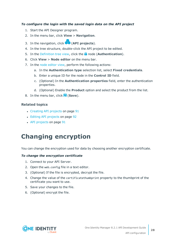#### <span id="page-27-1"></span>*To configure the login with the saved login data on the API project*

- 1. Start the API Designer program.
- 2. In the menu bar, click **View** > **Navigation**.
- 3. In the navigation, click (**API projects**).
- 4. In the tree structure, double-click the API project to be edited.
- 5. In the [Definition](#page-53-1) tree view, click the **n** node (**Authentication**).
- 6. Click **View** > **Node editor** on the menu bar.
- 7. In the node [editor](#page-59-0) view, perform the following actions:
	- a. In the **Authentication type** selection list, select **Fixed credentials**.
	- b. Enter a unique ID for the node in the **Control ID** field.
	- c. (Optional) In the **Authentication properties** field, enter the authentication properties.
	- d. (Optional) Enable the **Product** option and select the product from the list.
- 8. In the menu bar, click **F** (Save).

#### **Related topics**

- [Creating](#page-90-1) API projects on page 91
- Editing API [projects](#page-91-0) on page 92
- API [projects](#page-90-0) on page 91

## <span id="page-27-0"></span>**Changing encryption**

You can change the encryption used for data by choosing another encryption certificate.

#### *To change the encryption certificate*

- 1. Connect to your API Server.
- 2. Open the web.config file in a text editor.
- 3. (Optional) If the file is encrypted, decrypt the file.
- 4. Change the value of the certificatethumbprint property to the thumbprint of the certificate you want to use.
- 5. Save your changes to the file.
- 6. (Optional) encrypt the file.

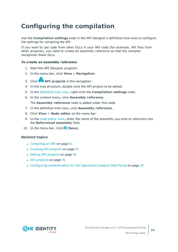## <span id="page-28-0"></span>**Configuring the compilation**

Use the **Compilation settings** node in the API Designer's definition tree view to configure the settings for compiling the API.

If you want to use code from other DLLs in your API code (for example, API files from other projects), you need to create an assembly reference so that the compiler recognizes these DLLs.

#### *To create an assembly reference*

- 1. Start the API Designer program.
- 2. In the menu bar, click **View** > **Navigation**.
- 3. Click **API projects** in the navigation.
- 4. In the tree structure, double-click the API project to be edited.
- 5. In the [definition](#page-53-1) tree view, right-click the **Compilation settings** node.
- 6. In the context menu, click **Assembly reference**.

The **Assembly reference** node is added under this node.

- 7. In the definition tree view, click **Assembly reference**.
- 8. Click **View** > **Node editor** on the menu bar.
- 9. In the node [editor](#page-59-0) view, enter the name of the assembly you wish to reference into the **Referenced assembly** field.
- 10. In the menu bar, click (**Save**).

#### **Related topics**

- $\cdot$  [Compiling](#page-80-0) an API on page  $81$
- [Creating](#page-90-1) API projects on page 91
- Editing API [projects](#page-91-0) on page 92
- API [projects](#page-90-0) on page 91
- Configuring [authentication](#page-24-0) for the Operations Support Web Portal on page 25

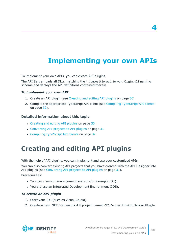# **Implementing your own APIs**

<span id="page-29-0"></span>To implement your own APIs, you can create API plugins.

The API Server loads all DLLs matching the \*.CompositionApi.Server.PlugIn.dll naming scheme and deploys the API definitions contained therein.

#### *To implement your own API*

- 1. Create an API plugin (see [Creating](#page-29-1) and editing API plugins on page 30).
- 2. Compile the appropriate [TypeScript](#page-31-0) API client (see Compiling TypeScript API clients on [page](#page-31-0) 32).

#### **Detailed information about this topic**

- [Creating](#page-29-1) and editing API plugins on page 30
- [Converting](#page-30-0) API projects to API plugins on page 31
- <span id="page-29-1"></span>• Compiling [TypeScript](#page-31-0) API clients on page 32

## **Creating and editing API plugins**

With the help of API plugins, you can implement and use your customized APIs.

You can also convert existing API projects that you have created with the API Designer into API plugins (see [Converting](#page-30-0) API projects to API plugins on page 31).

Prerequisites:

- You use a version management system (for example, Git).
- You are use an Integrated Development Environment (IDE).

#### *To create an API plugin*

- 1. Start your IDE (such as Visual Studio).
- 2. Create a new .NET Framework 4.8 project named CCC.CompositionApi.Server.Plugin.



**4**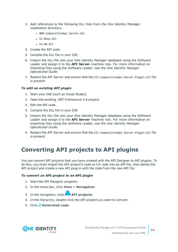- 3. Add references to the following DLL files from the One Identity Manager installation directory:
	- QBM.CompositionApi.Server.dll
	- <sup>l</sup> VI.Base.dll
	- $\cdot$  VT DR  $d$ 11
- 4. Create the API code.
- 5. Compile the DLL file in your IDE.
- 6. Import the DLL file into your One Identity Manager database using the Software Loader and assign it to the **API Server** machine role. For more information on importing files using the Software Loader, see the *One Identity Manager Operational Guide*.
- 7. Restart the API Server and ensure that the CCC.CompositionApi.Server.Plugin.dll file is present.

#### *To edit an existing API plugin*

- 1. Start your IDE (such as Visual Studio).
- 2. Open the existing .NET Framework 4.8 project.
- 3. Edit the API code.
- 4. Compile the DLL file in your IDE.
- 5. Import the DLL file into your One Identity Manager database using the Software Loader and assign it to the **API Server** machine role. For more information on importing files using the Software Loader, see the *One Identity Manager Operational Guide*.
- 6. Restart the API Server and ensure that the CCC.CompositionApi.Server.Plugin.dll file is present.

## <span id="page-30-0"></span>**Converting API projects to API plugins**

You can convert API projects that you have created with the API Designer to API plugins. To do this, you must import the API project's code as C# code into an API file, then delete the API project and create a new API plug-in with the code from the new API file.

#### *To convert an API project to an API plugin*

- 1. Start the API Designer program.
- 2. In the menu bar, click **View** > **Navigation**.
- 3. In the navigation, click **API projects**.
- 4. In the hierarchy, double-click the API project you want to convert.
- 5. Click **Generated code**.

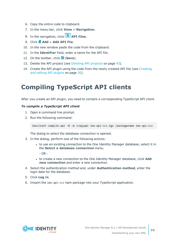- 6. Copy the entire code to clipboard.
- 7. In the menu bar, click **View** > **Navigation**.
- 8. In the navigation, click **API** files.
- 9. Click **Add** > **Add API file**.
- 10. In the new window paste the code from the clipboard.
- 11. In the **Identifier** field, enter a name for the API file.
- 12. On the toolbar, click **d** (Save).
- 13. Delete the API project (see [Deleting](#page-92-0) API projects on page 93).
- 14. Create the API plugin using the code from the newly created API file (see [Creating](#page-29-1) and editing API [plugins](#page-29-1) on page 30).

## <span id="page-31-0"></span>**Compiling TypeScript API clients**

After you create an API plugin, you need to compile a corresponding TypeScript API client.

#### *To compile a TypeScript API client*

- 1. Open a command line prompt.
- 2. Run the following command:

imxclient compile-api -N -W /copyapi imx-api-ccc.tgz /packagename imx-api-ccc

The dialog to select the database connection is opened.

- 3. In the dialog, perform one of the following actions:
	- to use an existing connection to the One Identity Manager database, select it in the **Select a database connection** menu.
		- OR -
	- **.** to create a new connection to the One Identity Manager database, click **Add new connection** and enter a new connection.
- 4. Select the authentication method and, under **Authentication method**, enter the login data for the database.
- 5. Click **Log in**.
- 6. Import the imx-api-ccc npm package into your TypeScript application.

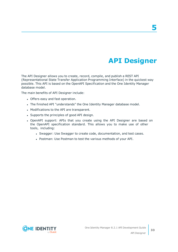# **API Designer**

<span id="page-32-0"></span>The API Designer allows you to create, record, compile, and publish a REST API (Representational State Transfer Application Programming Interface) in the quickest way possible. This API is based on the OpenAPI Specification and the One Identity Manager database model.

The main benefits of API Designer include:

- Offers easy and fast operation.
- The finished API "understands" the One Identity Manager database model.
- Modifications to the API are transparent.
- Supports the principles of good API design.
- OpenAPI support: APIs that you create using the API Designer are based on the OpenAPI specification standard. This allows you to make use of other tools, including:
	- Swagger: Use Swagger to create code, documentation, and test cases.
	- Postman: Use Postman to test the various methods of your API.

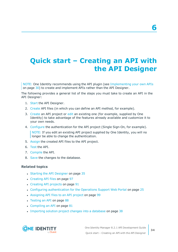# <span id="page-33-0"></span>**Quick start – Creating an API with the API Designer**

NOTE: One Identity recommends using the API plugin (see [Implementing](#page-29-0) your own APIs on [page](#page-29-0) 30) to create and implement APIs rather than the API Designer.

The following provides a general list of the steps you must take to create an API in the API Designer:

- 1. [Start](#page-34-1) the API Designer.
- 2. [Create](#page-96-0) API files (in which you can define an API method, for example).
- 3. [Create](#page-90-1) an API project or [edit](#page-91-0) an existing one (for example, supplied by One Identity) to take advantage of the features already available and customize it to your own needs.
- 4. [Configure](#page-24-0) the authentication for the API project (Single Sign-On, for example).

NOTE: If you edit an existing API project supplied by One Identity, you will no longer be able to change the authentication.

- 5. [Assign](#page-98-0) the created API files to the API project.
- 6. [Test](#page-87-1) the API.
- 7. [Compile](#page-80-0) the API.
- 8. [Save](#page-37-0) the changes to the database.

#### **Related topics**

- Starting the API [Designer](#page-34-1) on page 35
- [Creating](#page-96-0) API files on page 97
- [Creating](#page-90-1) API projects on page 91
- Configuring [authentication](#page-24-0) for the Operations Support Web Portal on page 25
- [Assigning](#page-98-0) API files to an API project on page 99
- [Testing](#page-87-1) an API on page 88
- $\cdot$  [Compiling](#page-80-0) an API on page  $81$
- [Importing](#page-37-0) solution project changes into a database on page 38

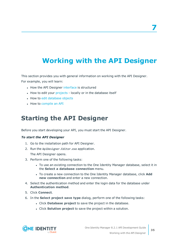# <span id="page-34-0"></span>**Working with the API Designer**

This section provides you with general information on working with the API Designer. For example, you will learn:

- How the API Designer [interface](#page-37-1) is structured
- How to edit your [projects](#page-35-0) locally or in the database itself
- How to edit [database](#page-53-1) objects
- How to [compile](#page-80-0) an API

## <span id="page-34-1"></span>**Starting the API Designer**

Before you start developing your API, you must start the API Designer.

#### *To start the API Designer*

- 1. Go to the installation path for API Designer.
- 2. Run the ApiDesigner.Editor.exe application.

The API Designer opens.

- 3. Perform one of the following tasks:
	- To use an existing connection to the One Identity Manager database, select it in the **Select a database connection** menu.
	- To create a new connection to the One Identity Manager database, click Add **new connection** and enter a new connection.
- 4. Select the authentication method and enter the login data for the database under **Authentication method**.
- 5. Click **Connect**.
- 6. In the **Select project save type** dialog, perform one of the following tasks:
	- <sup>l</sup> Click **Database project** to save the project in the database.
	- **.** Click **Solution project** to save the project within a solution.

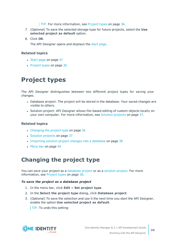#### **TIP:** For more information, see [Project](#page-35-0) types on page 36.

- 7. (Optional) To save the selected storage type for future projects, select the **Use selected project as default** option.
- 8. Click **OK**.

The API Designer opens and displays the start [page.](#page-46-0)

#### **Related topics**

- [Start](#page-46-0) page on page 47
- [Project](#page-35-0) types on page 36

## <span id="page-35-0"></span>**Project types**

The API Designer distinguishes between two different project types for saving your changes.

- Database project: The project will be stored in the database. Your saved changes are visible to others.
- Solution project: API Designer allows file-based editing of custom objects locally on your own computer. For more information, see Solution [projects](#page-36-0) on page 37.

#### **Related topics**

- [Changing](#page-35-1) the project type on page 36
- [Solution](#page-36-0) projects on page 37
- [Importing](#page-37-0) solution project changes into a database on page 38
- $\cdot$  [Menu](#page-39-0) bar on page 40

## <span id="page-35-1"></span>**Changing the project type**

You can save your project as a [database](#page-35-2) project or as a [solution](#page-36-1) project. For more information, see [Project](#page-35-0) types on page 36.

#### <span id="page-35-2"></span>*To save the project as a database project*

- 1. In the menu bar, click **Edit** > **Set project type**.
- 2. In the **Select the project type** dialog, click **Database project**.
- 3. (Optional) To save the selection and use it the next time you start the API Designer, enable the option **Use selected project as default**.

TIP: To undo this setting:

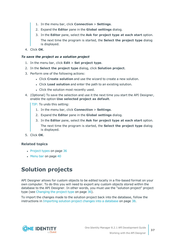- 1. In the menu bar, click **Connection** > **Settings**.
- 2. Expand the **Editor** pane in the **Global settings** dialog.
- 3. In the **Editor** pane, select the **Ask for project type at each start** option. The next time the program is started, the **Select the project type** dialog is displayed.
- 4. Click **OK**.

### *To save the project as a solution project*

- 1. In the menu bar, click **Edit** > **Set project type**.
- 2. In the **Select the project type** dialog, click **Solution project**.
- 3. Perform one of the following actions:
	- <sup>l</sup> Click **Create solution** and use the wizard to create a new solution.
	- <sup>l</sup> Click **Load solution** and enter the path to an existing solution.
	- Click the solution most recently used.
- 4. (Optional) To save the selection and use it the next time you start the API Designer, enable the option **Use selected project as default**.

TIP: To undo this setting:

- 1. In the menu bar, click **Connection** > **Settings**.
- 2. Expand the **Editor** pane in the **Global settings** dialog.
- 3. In the **Editor** pane, select the **Ask for project type at each start** option.

The next time the program is started, the **Select the project type** dialog is displayed.

5. Click **OK**.

### **Related topics**

- [Project](#page-35-0) types on page 36
- $\cdot$  [Menu](#page-39-0) bar on page 40

# <span id="page-36-0"></span>**Solution projects**

API Designer allows for custom objects to be edited locally in a file-based format on your own computer. To do this you will need to export any custom objects stored within the database to the API Designer. In other words, you must use the "solution project" project type (see [Changing](#page-35-1) the project type on page 36).

To import the changes made to the solution project back into the database, follow the instructions in [Importing](#page-37-0) solution project changes into a database on page 38.

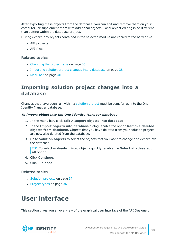After exporting these objects from the database, you can edit and remove them on your computer, or supplement them with additional objects. Local object editing is no different than editing within the database project.

During export, any objects contained in the selected module are copied to the hard drive:

- API projects
- API files

### **Related topics**

- $\cdot$  [Changing](#page-35-1) the project type on page 36
- [Importing](#page-37-0) solution project changes into a database on page 38
- $\cdot$  [Menu](#page-39-0) bar on page 40

# <span id="page-37-0"></span>**Importing solution project changes into a database**

Changes that have been run within a [solution](#page-35-2) project must be transferred into the One Identity Manager database.

### *To import object into the One Identity Manager database*

- 1. In the menu bar, click **Edit** > **Import objects into database**.
- 2. In the **Import objects into database** dialog, enable the option **Remove deleted objects from database**. Objects that you have deleted from your solution project are now also deleted from the database.
- 3. Go to **Solution objects** to select the objects that you want to change and export into the database.

TIP: To select or deselect listed objects quickly, enable the **Select all/deselect all** option.

- 4. Click **Continue**.
- 5. Click **Finished**.

### **Related topics**

- [Solution](#page-36-0) projects on page 37
- [Project](#page-35-0) types on page 36

# <span id="page-37-1"></span>**User interface**

This section gives you an overview of the graphical user interface of the API Designer.

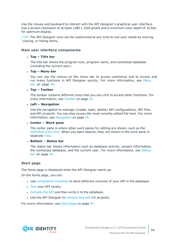Use the mouse and keyboard to interact with the API Designer's graphical user interface. Use a screen resolution of at least 1280 x 1024 pixels and a minimum color depth of 16 bits for optimum display.

TIP: The API Designer view can be customized at any time to suit your needs by moving, closing, or hiding items.

### **Main user interface components**

#### <sup>l</sup> **Top – Title bar**

The title bar shows the program icon, program name, and connected database (including the current user).

#### <sup>l</sup> **Top – Menu bar**

You can use the menus on the menu bar to access submenus and to access and run many functions in API Designer quickly. For more information, see [Menu](#page-39-0) bar on [page](#page-39-0) 40.

#### <sup>l</sup> **Top – Toolbar**

The toolbar contains different icons that you can click to access other functions. For more information, see [Toolbar](#page-42-0) on page 43.

### <sup>l</sup> **Left – Navigation**

Use the navigation to manage (create, open, delete) API configurations, API files, and API projects. You can also access the most recently edited file here. For more information, see [Navigation](#page-44-0) on page 45.

### <sup>l</sup> **Center – Work pane**

The center pane is where other work panes for editing are shown, such as the [Definition](#page-53-0) tree view. When you open objects, they are shown in the work pane in separate [Tabs](#page-75-0).

### <sup>l</sup> **Bottom – Status bar**

The status bar shows information such as database activity, project information, the connected database, and the current user. For more information, see [Status](#page-43-0) bar on [page](#page-43-0) 44.

### **Start page**

The home page is displayed when the API Designer starts up.

On the home page, you can:

- Use [compilation](#page-84-0) branches to store different versions of your API in the database.
- [Test](#page-87-0) your API locally.
- [Compile](#page-80-0) the API and then write it to the database.
- Use the API Designer to [connect](#page-88-0) and edit  $C#$  projects.

For more information, see [Start](#page-46-0) page on page 47.

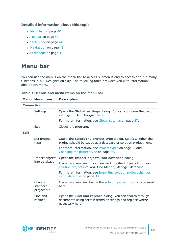## **Detailed information about this topic**

- $\cdot$  [Menu](#page-39-0) bar on page 40
- [Toolbar](#page-42-0) on page 43
- [Status](#page-43-0) bar on page 44
- [Navigation](#page-44-0) on page 45
- [Start](#page-46-0) page on page 47

# <span id="page-39-0"></span>**Menu bar**

You can use the menus on the menu bar to access submenus and to access and run many functions in API Designer quickly. The following table provides you with information about each menu.

|  |  | Table 1: Menus and menu items on the menu bar. |  |  |  |  |  |  |  |
|--|--|------------------------------------------------|--|--|--|--|--|--|--|
|--|--|------------------------------------------------|--|--|--|--|--|--|--|

|             | Menu Menu item                     | <b>Description</b>                                                                                                                         |  |  |  |
|-------------|------------------------------------|--------------------------------------------------------------------------------------------------------------------------------------------|--|--|--|
|             | <b>Connection</b>                  |                                                                                                                                            |  |  |  |
|             | Settings                           | Opens the Global settings dialog. You can configure the basic<br>settings for API Designer here.                                           |  |  |  |
|             |                                    | For more information, see Global settings on page 47.                                                                                      |  |  |  |
|             | Exit                               | Closes the program.                                                                                                                        |  |  |  |
| <b>Edit</b> |                                    |                                                                                                                                            |  |  |  |
|             | Set project<br>type                | Opens the Select the project type dialog. Select whether the<br>project should be saved as a database or solution project here.            |  |  |  |
|             |                                    | For more information, see Project types on page 36 and<br>Changing the project type on page 36.                                            |  |  |  |
|             | Import objects<br>into database    | Opens the Import objects into database dialog.                                                                                             |  |  |  |
|             |                                    | From here you can import new and modified objects from your<br>solution project into your One Identity Manager database.                   |  |  |  |
|             |                                    | For more information, see Importing solution project changes<br>into a database on page 38.                                                |  |  |  |
|             | Change<br>standard<br>project file | From here you can change the solution project that is to be used<br>here.                                                                  |  |  |  |
|             | Find and<br>replace                | Opens the Find and replace dialog. You can search through<br>documents using certain terms or strings and replace where<br>necessary here. |  |  |  |

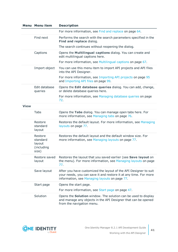|             | <b>Menu Menu item</b>                                | <b>Description</b>                                                                                                                                                                    |
|-------------|------------------------------------------------------|---------------------------------------------------------------------------------------------------------------------------------------------------------------------------------------|
|             |                                                      | For more information, see Find and replace on page 64.                                                                                                                                |
|             | Find next                                            | Performs the search with the search parameters specified in the<br>Find and replace dialog.                                                                                           |
|             |                                                      | The search continues without reopening the dialog.                                                                                                                                    |
|             | Captions                                             | Opens the Multilingual captions dialog. You can create and<br>edit multilingual captions here.                                                                                        |
|             |                                                      | For more information, see Multilingual captions on page 67.                                                                                                                           |
|             | Import object                                        | You can use this menu item to import API projects and API files<br>into the API Designer.                                                                                             |
|             |                                                      | For more information, see Importing API projects on page 95<br>and Importing API files on page 99.                                                                                    |
|             | Edit database<br>queries                             | Opens the Edit database queries dialog. You can add, change,<br>or delete database queries here.                                                                                      |
|             |                                                      | For more information, see Managing database queries on page<br>72.                                                                                                                    |
| <b>View</b> |                                                      |                                                                                                                                                                                       |
|             | <b>Tabs</b>                                          | Opens the Tabs dialog. You can manage open tabs here. For<br>more information, see Managing tabs on page 76.                                                                          |
|             | Restore<br>standard<br>layout                        | Restores the default layout. For more information, see Managing<br>layouts on page 77.                                                                                                |
|             | Restore<br>standard<br>layout<br>(including<br>size) | Restores the default layout and the default window size. For<br>more information, see Managing layouts on page 77.                                                                    |
|             | Restore saved<br>layout                              | Restores the layout that you saved earlier (see Save layout on<br>the menu). For more information, see Managing layouts on page<br>77.                                                |
|             | Save layout                                          | After you have customized the layout of the API Designer to suit<br>your needs, you can save it and restore it at any time. For more<br>information, see Managing layouts on page 77. |
|             | Start page                                           | Opens the start page.                                                                                                                                                                 |
|             |                                                      | For more information, see Start page on page 47.                                                                                                                                      |
|             | Solution                                             | Opens the <b>Solution</b> window. The solution can be used to display<br>and manage any objects in the API Designer that can be opened<br>from the navigation menu.                   |

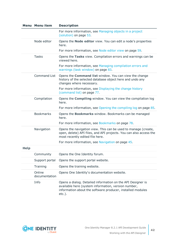|             | <b>Menu Menu item</b>   | <b>Description</b>                                                                                                                                                                            |
|-------------|-------------------------|-----------------------------------------------------------------------------------------------------------------------------------------------------------------------------------------------|
|             |                         | For more information, see Managing objects in a project<br>(solution) on page 53.                                                                                                             |
|             | Node editor             | Opens the <b>Node editor</b> view. You can edit a node's properties<br>here.                                                                                                                  |
|             |                         | For more information, see Node editor view on page 59.                                                                                                                                        |
|             | <b>Tasks</b>            | Opens the Tasks view. Compilation errors and warnings can be<br>viewed here.                                                                                                                  |
|             |                         | For more information, see Managing compilation errors and<br>warnings (task window) on page 83.                                                                                               |
|             | <b>Command List</b>     | Opens the <b>Command list</b> window. You can view the change<br>history of the selected database object here and undo any<br>changes where necessary.                                        |
|             |                         | For more information, see Displaying the change history<br>(command list) on page 77.                                                                                                         |
|             | Compilation             | Opens the <b>Compiling</b> window. You can view the compilation log<br>here.                                                                                                                  |
|             |                         | For more information, see Opening the compiling log on page 85.                                                                                                                               |
|             | <b>Bookmarks</b>        | Opens the <b>Bookmarks</b> window. Bookmarks can be managed<br>here.                                                                                                                          |
|             |                         | For more information, see Bookmarks on page 78.                                                                                                                                               |
|             | Navigation              | Opens the navigation view. This can be used to manage (create,<br>open, delete) API files, and API projects. You can also access the<br>most recently edited file here.                       |
|             |                         | For more information, see Navigation on page 45.                                                                                                                                              |
| <b>Help</b> |                         |                                                                                                                                                                                               |
|             | Community               | Opens the One Identity forum.                                                                                                                                                                 |
|             | Support portal          | Opens the support portal website.                                                                                                                                                             |
|             | Training                | Opens the training website.                                                                                                                                                                   |
|             | Online<br>documentation | Opens One Identity's documentation website.                                                                                                                                                   |
|             | Info                    | Opens a dialog. Detailed information on the API Designer is<br>available here (system information, version number,<br>information about the software producer, installed modules<br>$etc.$ ). |

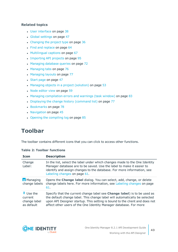- User [interface](#page-37-1) on page 38
- Global [settings](#page-46-1) on page 47
- [Changing](#page-35-1) the project type on page 36
- Find and [replace](#page-63-0) on page 64
- [Multilingual](#page-66-0) captions on page 67
- [Importing](#page-94-0) API projects on page 95
- [Managing](#page-71-0) database queries on page 72
- [Managing](#page-75-0) tabs on page 76
- [Managing](#page-76-0) layouts on page 77
- [Start](#page-46-0) page on page 47
- Managing objects in a project [\(solution\)](#page-52-0) on page 53
- Node [editor](#page-58-0) view on page 59
- Managing [compilation](#page-82-0) errors and warnings (task window) on page 83
- Displaying the change history [\(command](#page-76-1) list) on page 77
- [Bookmarks](#page-77-0) on page 78
- $\cdot$  [Navigation](#page-44-0) on page 45
- $\cdot$  Opening the [compiling](#page-84-1) log on page 85

# <span id="page-42-0"></span>**Toolbar**

The toolbar contains different icons that you can click to access other functions.

| <b>Icon</b>                                                 | <b>Description</b>                                                                                                                                                                                                                                                                                         |
|-------------------------------------------------------------|------------------------------------------------------------------------------------------------------------------------------------------------------------------------------------------------------------------------------------------------------------------------------------------------------------|
| Change<br>Label:                                            | In the list, select the label under which changes made to the One Identity<br>Manager database are to be saved. Use the label to make it easier to<br>identify and assign changes to the database. For more information, see<br>Labeling changes on page 61.                                               |
| <b>A</b> Managing<br>change labels                          | Opens the Change label dialog. You can select, add, change, or delete<br>change labels here. For more information, see Labeling changes on page<br>61.                                                                                                                                                     |
| $\ddagger$ Use the<br>current<br>change label<br>as default | Specify that the current change label see Change label) is to be used as<br>the default change label. This change label will automatically be selected<br>upon API Designer startup. This setting is bound to the client and does not<br>affect other users of the One Identity Manager database. For more |

### **Table 2: Toolbar functions**

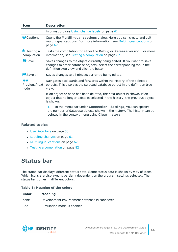| <b>Icon</b>                | <b>Description</b>                                                                                                                                                                                              |
|----------------------------|-----------------------------------------------------------------------------------------------------------------------------------------------------------------------------------------------------------------|
|                            | information, see Using change labels on page 61.                                                                                                                                                                |
| Captions                   | Opens the Multilingual captions dialog. Here you can create and edit<br>multilingual captions. For more information, see Multilingual captions on<br>page 67.                                                   |
| 劃 Testing a<br>compilation | Tests the compilation for either the <b>Debug</b> or Release version. For more<br>information, see Testing a compilation on page 82.                                                                            |
| Save                       | Saves changes to the object currently being edited. If you want to save<br>changes to other database objects, select the corresponding tab in the<br>definition tree view and click the button.                 |
| <b>B</b> Save all          | Saves changes to all objects currently being edited.                                                                                                                                                            |
| ↔<br>Previous/next<br>node | Navigates backwards and forwards within the history of the selected<br>objects. This displays the selected database object in the definition tree<br>view.                                                      |
|                            | If an object or node has been deleted, the next object is shown. If an<br>object that no longer exists is selected in the history, the previous object<br>is shown.                                             |
|                            | TIP: In the menu bar under <b>Connection</b>   <b>Settings</b> , you can specify<br>the number of database objects shown in the history. The history can be<br>deleted in the context menu using Clear history. |

- User [interface](#page-37-1) on page 38
- $\cdot$  [Labeling](#page-60-0) changes on page 61
- $\bullet$  [Multilingual](#page-66-0) captions on page 67
- Testing a [compilation](#page-81-0) on page 82

# <span id="page-43-0"></span>**Status bar**

The status bar displays different status data. Some status data is shown by way of icons. Which icons are displayed is partially dependent on the program settings selected. The status bar comes in different colors.

### **Table 3: Meaning of the colors**

| Color | <b>Meaning</b>                                 |
|-------|------------------------------------------------|
| none  | Development environment database is connected. |
| Red   | Simulation mode is enabled.                    |

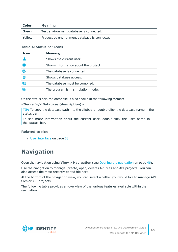| Color  | <b>Meaning</b>                                |
|--------|-----------------------------------------------|
| Green  | Test environment database is connected.       |
| Yellow | Productive environment database is connected. |

### **Table 4: Status bar icons**

| <b>Icon</b> | <b>Meaning</b>                       |
|-------------|--------------------------------------|
|             | Shows the current user.              |
|             | Shows information about the project. |
| e           | The database is connected.           |
|             | Shows database access.               |
| 鸜           | The database must be compiled.       |
|             | The program is in simulation mode.   |

On the status bar, the database is also shown in the following format:

### **<Server>/<Database (description)>**

TIP: To copy the database path into the clipboard, double-click the database name in the status bar.

To see more information about the current user, double-click the user name in the status bar.

### **Related topics**

• User [interface](#page-37-1) on page 38

# <span id="page-44-0"></span>**Navigation**

Open the navigation using **View** > **Navigation** (see Opening the [navigation](#page-45-0) on page 46).

Use the navigation to manage (create, open, delete) API files and API projects. You can also access the most recently edited file here.

At the bottom of the navigation view, you can select whether you would like to manage API files or API projects.

The following table provides an overview of the various features available within the navigation.

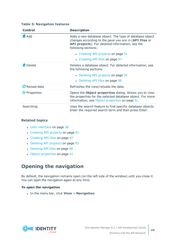| <b>Control</b>       | <b>Description</b>                                                                                                                                                                           |
|----------------------|----------------------------------------------------------------------------------------------------------------------------------------------------------------------------------------------|
| $\mathbf{H}$ Add     | Adds a new database object. The type of database object<br>changes according to the pane you are in (API files or<br>API projects). For detailed information, see the<br>following sections: |
|                      | • Creating API projects on page 91                                                                                                                                                           |
|                      | • Creating API files on page 97                                                                                                                                                              |
| <b>Ex</b> Delete     | Deletes a database object. For detailed information, see<br>the following sections:                                                                                                          |
|                      | • Deleting API projects on page 93                                                                                                                                                           |
|                      | • Deleting API files on page 98                                                                                                                                                              |
| <b>C</b> Reload data | Refreshes the view/reloads the data.                                                                                                                                                         |
| Properties           | Opens the Object properties dialog. Allows you to view<br>the properties for the selected database object. For more<br>information, see Object properties on page 51.                        |
| Searching            | Uses the search feature to find specific database objects.<br>Enter the required search term and then press Enter.                                                                           |

### **Table 5: Navigation features**

### **Related topics**

- User [interface](#page-37-1) on page 38
- [Creating](#page-90-0) API projects on page 91
- [Creating](#page-96-0) API files on page 97
- [Deleting](#page-92-0) API projects on page 93
- [Deleting](#page-97-0) API files on page 98
- Object [properties](#page-50-0) on page 51

# <span id="page-45-0"></span>**Opening the navigation**

By default, the navigation remains open (on the left side of the window) until you close it. You can open the navigation again at any time.

### *To open the navigation*

<sup>l</sup> In the menu bar, click **View** > **Navigation**.

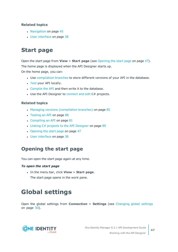- [Navigation](#page-44-0) on page 45
- User [interface](#page-37-1) on page 38

# <span id="page-46-0"></span>**Start page**

Open the start page from **View** > **Start page** (see [Opening](#page-46-2) the start page on page 47). The home page is displayed when the API Designer starts up.

On the home page, you can:

- Use [compilation](#page-84-0) branches to store different versions of your API in the database.
- [Test](#page-87-0) your API locally.
- [Compile](#page-80-0) the API and then write it to the database.
- $\bullet$  Use the API Designer to [connect](#page-88-0) and edit C# projects.

## **Related topics**

- Managing versions [\(compilation](#page-84-0) branches) on page 85
- [Testing](#page-87-0) an API on page 88
- $\cdot$  [Compiling](#page-80-0) an API on page  $81$
- Linking C# projects to the API [Designer](#page-88-0) on page 89
- [Opening](#page-46-2) the start page on page 47
- User [interface](#page-37-1) on page 38

## <span id="page-46-2"></span>**Opening the start page**

You can open the start page again at any time.

### *To open the start page*

- <sup>l</sup> In the menu bar, click **View** > **Start page**.
	- The start page opens in the work pane.

# <span id="page-46-1"></span>**Global settings**

Open the global settings from **Connection** > **Settings** (see [Changing](#page-49-0) global settings on [page](#page-49-0)  $50$ ).

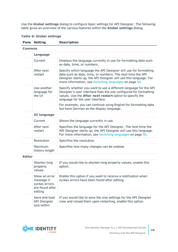Use the **Global settings** dialog to configure basic settings for API Designer. The following table gives an overview of the various features within the **Global settings** dialog.

|               | <b>Pane Setting</b>                   | <b>Description</b>                                                                                                                                                                                                                                         |  |  |  |
|---------------|---------------------------------------|------------------------------------------------------------------------------------------------------------------------------------------------------------------------------------------------------------------------------------------------------------|--|--|--|
|               | Common                                |                                                                                                                                                                                                                                                            |  |  |  |
|               | <b>Language</b>                       |                                                                                                                                                                                                                                                            |  |  |  |
|               | Current                               | Displays the language currently in use for formatting data such<br>as date, time, or numbers.                                                                                                                                                              |  |  |  |
|               | After next<br>restart                 | Specify which language the API Designer will use for formatting<br>data such as date, time, or numbers. The next time the API<br>Designer starts up, the API Designer will use this language. For<br>more information, see Switching languages on page 50. |  |  |  |
|               | Use another<br>language for<br>the UI | Specify whether you want to use a different language for the API<br>Designer's user interface than the one configured for formatting<br>values. Use the After next restart option to specify the<br>language for the user interface.                       |  |  |  |
|               |                                       | For example, you can continue using English for formatting data<br>but have German as the display language.                                                                                                                                                |  |  |  |
|               | <b>UI language</b>                    |                                                                                                                                                                                                                                                            |  |  |  |
|               | Current                               | Shows the language currently in use.                                                                                                                                                                                                                       |  |  |  |
|               | After next<br>restart                 | Specifies the language for the API Designer. The next time the<br>API Designer starts up, the API Designer will use this language.<br>For more information, see Switching languages on page 50.                                                            |  |  |  |
|               | Resolution                            | Specifies the resolution.                                                                                                                                                                                                                                  |  |  |  |
|               | Maximum<br>history length             | Specifies how many changes can be undone.                                                                                                                                                                                                                  |  |  |  |
| <b>Editor</b> |                                       |                                                                                                                                                                                                                                                            |  |  |  |
|               | Shorten long<br>property<br>values    | If you would like to shorten long property values, enable this<br>option.                                                                                                                                                                                  |  |  |  |
|               | Show an error<br>message if           | Enable this option if you want to receive a notification when<br>syntax errors have been found after editing.                                                                                                                                              |  |  |  |

### **Table 6: Global settings**



syntax errors are found after

Save and load API Designer size within

editing

If you would like to save the size settings for the API Designer view and reload them upon restarting, enable this option.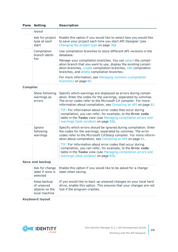| Pane            | <b>Setting</b>                                               | <b>Description</b>                                                                                                                                                                                                                                                |
|-----------------|--------------------------------------------------------------|-------------------------------------------------------------------------------------------------------------------------------------------------------------------------------------------------------------------------------------------------------------------|
|                 | layout                                                       |                                                                                                                                                                                                                                                                   |
|                 | Ask for project<br>type at each<br>start                     | Enable this option if you would like to select how you would like<br>to save your project each time you start API Designer (see<br>Changing the project type on page 36).                                                                                         |
|                 | Compilation<br>branch identi-                                | Use compilation branches to store different API versions in the<br>database.                                                                                                                                                                                      |
|                 | fier                                                         | Manage your compilation branches. You can select the compil-<br>ation branch that you want to use, display the existing compil-<br>ation branches, create compilation branches, edit compilation<br>branches, and delete compilation branches.                    |
|                 |                                                              | For more information, see Managing versions (compilation<br>branches) on page 85.                                                                                                                                                                                 |
| <b>Compiler</b> |                                                              |                                                                                                                                                                                                                                                                   |
|                 | Show following<br>warnings as<br>errors                      | Specify which warnings are displayed as errors during compil-<br>ation. Enter the codes for the warnings, separated by commas.<br>The error codes refer to the Microsoft C# compiler. For more<br>information about compilation, see Compiling an API on page 81. |
|                 |                                                              | TIP: For information about error codes that occur during<br>compilation, you can refer, for example, to the Error code<br>table in the Tasks view (see Managing compilation errors and<br>warnings (task window) on page 83).                                     |
|                 | Ignore<br>following<br>warnings                              | Specify which errors should be ignored during compilation. Enter<br>the codes for the warnings, separated by commas. The error<br>codes refer to the Microsoft C#Sharp compiler. For more inform-<br>ation about compilation, see Compiling an API on page 81.    |
|                 |                                                              | TIP: For information about error codes that occur during<br>compilation, you can refer, for example, to the Error code<br>table in the Tasks view (see Managing compilation errors and<br>warnings (task window) on page 83).                                     |
|                 | <b>Save and backup</b>                                       |                                                                                                                                                                                                                                                                   |
|                 | Ask for change<br>label if none is<br>selected               | Enable this option if you would like to be asked for a change<br>label when saving.                                                                                                                                                                               |
|                 | Keep backup<br>of unsaved<br>objects on the<br>local machine | If you would like to back up unsaved changes on your local hard<br>drive, enable this option. This ensures that your changes are not<br>lost if the program crashes.                                                                                              |

**Keyboard layout**

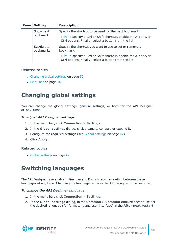| Pane | <b>Setting</b>          | <b>Description</b>                                                                                                       |
|------|-------------------------|--------------------------------------------------------------------------------------------------------------------------|
|      | Show next<br>bookmark   | Specify the shortcut to be used for the next bookmark.                                                                   |
|      |                         | TIP: To specify a Ctrl or Shift shortcut, enable the Alt and/or<br>Ctrl options. Finally, select a button from the list. |
|      | Set/delete<br>bookmarks | Specify the shortcut you want to use to set or remove a<br>bookmark.                                                     |
|      |                         | TIP: To specify a Ctrl or Shift shortcut, enable the Alt and/or<br>Ctrl options. Finally, select a button from the list. |

- [Changing](#page-49-0) global settings on page 50
- $\cdot$  [Menu](#page-39-0) bar on page 40

# <span id="page-49-0"></span>**Changing global settings**

You can change the global settings, general settings, or both for the API Designer at any time.

### *To adjust API Designer settings*

- 1. In the menu bar, click **Connection** > **Settings**.
- 2. In the **Global settings** dialog, click a pane to collapse or expand it.
- 3. Configure the required settings (see Global [settings](#page-46-1) on page 47).
- 4. Click **Apply**.

### **Related topics**

• Global [settings](#page-46-1) on page 47

# <span id="page-49-1"></span>**Switching languages**

The API Designer is available in German and English. You can switch between these languages at any time. Changing the language requires the API Designer to be restarted.

### *To change the API Designer language*

- 1. In the menu bar, click **Connection** > **Settings**.
- 2. In the **Global settings** dialog, in the **Common** > **Common culture** section, select the desired language (for formatting and user interface) in the **After next restart**

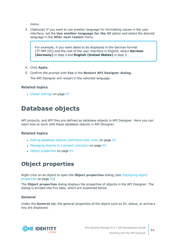menu.

3. (Optional) If you want to use another language for formatting values in the user interface, set the **Use another language for the UI** option and select the desired language in the **After next restart** menu.

For example, if you want dates to be displayed in the German format (TT.MM.JJJJ) and the rest of the user interface in English, select **German (Germany)** in step 2 and **English (United States)** in step 3.

- 4. Click **Apply**.
- 5. Confirm the prompt with **Yes** in the **Restart API Designer dialog.** The API Designer will restart in the selected language.

## **Related topics**

• Global [settings](#page-46-1) on page 47

# **Database objects**

API projects, and API files are defined as database objects in API Designer. Here you can learn how to work with these database objects in API Designer.

## **Related topics**

- Editing database objects [\(definition](#page-53-0) tree view) on page 54
- Managing objects in a project [\(solution\)](#page-52-0) on page 53
- $\bullet$  Object [properties](#page-50-0) on page  $51$

# <span id="page-50-0"></span>**Object properties**

Right-click on an object to open the **Object properties** dialog (see [Displaying](#page-51-0) object [properties](#page-51-0) on page 52)

The **Object properties** dialog displays the properties of objects in the API Designer. The dialog is divided into five tabs, which are explained below.

## **General**

Under the **General** tab, the general properties of the object such as ID, status, or primary key are displayed.

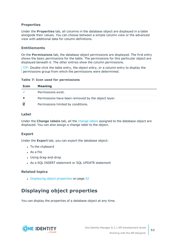## **Properties**

Under the **Properties** tab, all columns in the database object are displayed in a table alongside their values. You can choose between a simple column view or the advanced view with additional data for column definitions.

## **Entitlements**

On the **Permissions** tab, the database object permissions are displayed. The first entry shows the basic permissions for the table. The permissions for this particular object are displayed beneath it. The other entries show the column permissions.

TIP: Double-click the table entry, the object entry, or a column entry to display the permissions group from which the permissions were determined.

### **Table 7: Icon used for permissions**

| Icon | <b>Meaning</b>                                     |
|------|----------------------------------------------------|
|      | Permissions exist.                                 |
|      | Permissions have been removed by the object layer. |
| ⊠    | Permissions limited by conditions.                 |

## **Label**

Under the **Change labels** tab, all the [change](#page-60-0) labels assigned to the database object are displayed. You can also assign a change label to the object.

## **Export**

Under the **Export** tab, you can export the database object:

- To the clipboard
- $\bullet$  As a file
- Using drag-and-drop
- As a SOL INSERT statement or SOL UPDATE statement

## **Related topics**

• [Displaying](#page-51-0) object properties on page 52

# <span id="page-51-0"></span>**Displaying object properties**

You can display the properties of a database object at any time.

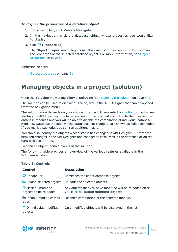### *To display the properties of a database object*

- 1. In the menu bar, click **View** > **Navigation**.
- 2. In the navigation, click the database object whose properties you would like to display.
- 3. Click (**Properties**).

The **Object properties** dialog opens. This dialog contains several tabs displaying the properties of the selected database object. For more information, see [Object](#page-50-0) [properties](#page-50-0) on page 51.

## **Related topics**

• Object [properties](#page-50-0) on page 51

# <span id="page-52-0"></span>**Managing objects in a project (solution)**

Open the **Solution** view using **View** > **Solution** (see [Opening](#page-53-1) the solution on page 54).

The solution can be used to display all the objects in the API Designer that can be opened from the navigation menu.

The solution view depends on your choice of project. If you select a [solution](#page-35-2) project when starting the API Designer, the listed entries will be grouped according to their respective database modules and you will be able to disable the compilation of individual database modules. Database modules whose status has not changed, are shown as collapsed nodes. If you mark a subnode, you can run additional tasks.

You can also identify the objects whose status has changed in API Designer. Differences between changes in the API Designer and changes to resources in the database or on the hard disk are marked.

To open an object, double-click it in the solution.

The following table provides an overview of the various features available in the **Solution** window.

| Control                                                  | <b>Description</b>                                                                                |
|----------------------------------------------------------|---------------------------------------------------------------------------------------------------|
| <b>C</b> Update list                                     | Refreshes the list of database objects.                                                           |
| Reload selected objects                                  | Reloads the selected objects.                                                                     |
| <sup>1</sup> Mark all modified<br>objects to be reloaded | Any objects that you have modified will be reloaded after<br>you click & Reload selected objects. |
| <b>*</b> Disable module compil-<br>ation                 | Disables compilation of the selected module.                                                      |
| <b>T</b> Only display modified<br>objects                | Only modified objects will be displayed in the list.                                              |

### **Table 8: Controls**

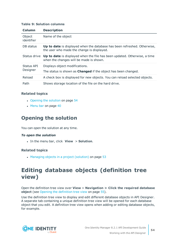### **Table 9: Solution columns**

| Column               | <b>Description</b>                                                                                                     |
|----------------------|------------------------------------------------------------------------------------------------------------------------|
| Object<br>identifier | Name of the object                                                                                                     |
| DB status            | Up to date is displayed when the database has been refreshed. Otherwise,<br>the user who made the change is displayed. |
| Status drive         | Up to date is displayed when the file has been updated. Otherwise, a time<br>when the changes will be made is shown.   |
| Status API           | Displays object modifications.                                                                                         |
| Designer             | The status is shown as <b>Changed</b> if the object has been changed.                                                  |
| Reload               | A check box is displayed for new objects. You can reload selected objects.                                             |
| Path                 | Shows storage location of the file on the hard drive.                                                                  |

### **Related topics**

- $\cdot$  [Opening](#page-53-1) the solution on page 54
- $\cdot$  [Menu](#page-39-0) bar on page 40

## <span id="page-53-1"></span>**Opening the solution**

You can open the solution at any time.

### *To open the solution*

<sup>l</sup> In the menu bar, click **View** > **Solution**.

## **Related topics**

 $\bullet$  Managing objects in a project [\(solution\)](#page-52-0) on page 53

# <span id="page-53-0"></span>**Editing database objects (definition tree view)**

Open the definition tree view over **View** > **Navigation > Click the required database object** (see Opening the [definition](#page-54-0) tree view on page 55).

Use the definition tree view to display and edit different database objects in API Designer. A separate tab containing a unique definition tree view will be opened for each database object that you edit. A definition tree view opens when adding or editing database objects, for example.

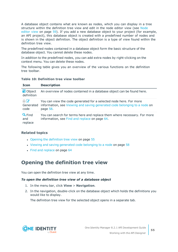A database object contains what are known as nodes, which you can display in a tree structure within the definition tree view and edit in the node editor view (see [Node](#page-58-0) [editor](#page-58-0) view on page 59). If you add a new database object to your project (for example, an API project), this database object is created with a predefined number of nodes and is shown in the object definition. The object definition is a type of view found within the definition tree view.

The predefined nodes contained in a database object form the basic structure of the database object. You cannot delete these nodes.

In addition to the predefined nodes, you can add extra nodes by right-clicking on the context menu. You can delete these nodes.

The following table gives you an overview of the various functions on the definition tree toolbar.

|  | <b>Table 10: Definition tree view toolbar</b> |  |  |
|--|-----------------------------------------------|--|--|
|--|-----------------------------------------------|--|--|

| <b>Icon</b>                         | <b>Description</b>                                                                                                                                          |
|-------------------------------------|-------------------------------------------------------------------------------------------------------------------------------------------------------------|
| $\blacksquare$ Object<br>definition | An overview of nodes contained in a database object can be found here.                                                                                      |
| 60<br>Generated<br>code             | You can view the code generated for a selected node here. For more<br>information, see Viewing and saving generated code belonging to a node on<br>page 58. |
| <b>Q</b> Find<br>and<br>replace     | You can search for terms here and replace them where necessary. For more<br>information, see Find and replace on page 64.                                   |

## **Related topics**

- Opening the [definition](#page-54-0) tree view on page 55
- Viewing and saving [generated](#page-57-0) code belonging to a node on page 58
- $\cdot$  Find and [replace](#page-63-0) on page 64

## <span id="page-54-0"></span>**Opening the definition tree view**

You can open the definition tree view at any time.

### *To open the definition tree view of a database object*

- 1. In the menu bar, click **View** > **Navigation**.
- 2. In the navigation, double-click on the database object which holds the definitions you would like to display.

The definition tree view for the selected object opens in a separate tab.

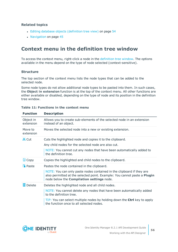- Editing database objects [\(definition](#page-53-0) tree view) on page 54
- [Navigation](#page-44-0) on page 45

## **Context menu in the definition tree window**

To access the context menu, right-click a node in the [definition](#page-53-0) tree window. The options available in the menu depend on the type of node selected (context-sensitive).

### **Structure**

The top section of the context menu lists the node types that can be added to the selected node.

Some node types do not allow additional node types to be pasted into them. In such cases, the **Object in extension** function is at the top of the context menu. All other functions are either available or disabled, depending on the type of node and its position in the definition tree window.

| Allows you to create sub-elements of the selected node in an extension<br>instead of an object.                                                                                                                                                                              |
|------------------------------------------------------------------------------------------------------------------------------------------------------------------------------------------------------------------------------------------------------------------------------|
| Moves the selected node into a new or existing extension.                                                                                                                                                                                                                    |
| Cuts the highlighted node and copies it to the clipboard.<br>Any child nodes for the selected node are also cut.<br>NOTE: You cannot cut any nodes that have been automatically added to<br>the definition tree.                                                             |
| Copies the highlighted and child nodes to the clipboard.                                                                                                                                                                                                                     |
| Pastes the node contained in the clipboard.<br>NOTE: You can only paste nodes contained in the clipboard if they are<br>also permitted at the selected point. Example: You cannot paste a Plugin<br>node below the Compilation settings node.                                |
| Deletes the highlighted node and all child nodes.<br>NOTE: You cannot delete any nodes that have been automatically added<br>to the definition tree.<br>TIP: You can select multiple nodes by holding down the Ctrl key to apply<br>the function once to all selected nodes. |
|                                                                                                                                                                                                                                                                              |

### **Table 11: Functions in the context menu**

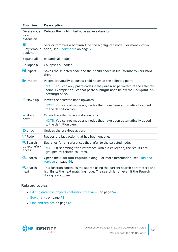| <b>Function</b>                           | <b>Description</b>                                                                                                                                                                                                                   |
|-------------------------------------------|--------------------------------------------------------------------------------------------------------------------------------------------------------------------------------------------------------------------------------------|
| Delete node<br>as an<br>extension         | Deletes the highlighted node as an extension.                                                                                                                                                                                        |
| N<br>Set/remove<br>bookmark               | Sets or removes a bookmark on the highlighted node. For more inform-<br>ation, see Bookmarks on page 78.                                                                                                                             |
| Expand all                                | Expands all nodes.                                                                                                                                                                                                                   |
| Collapse all                              | Collapses all nodes.                                                                                                                                                                                                                 |
| $E$ Export                                | Saves the selected node and their child nodes in XML format to your hard<br>drive.                                                                                                                                                   |
| Import                                    | Pastes previously exported child nodes at the selected point.<br>NOTE: You can only paste nodes if they are also permitted at the selected<br>point. Example: You cannot paste a Plugin node below the Compilation<br>settings node. |
| ↑ Move up                                 | Moves the selected node upwards.<br>NOTE: You cannot move any nodes that have been automatically added<br>to the definition tree.                                                                                                    |
| $V$ Move<br>down                          | Moves the selected node downwards.<br>NOTE: You cannot move any nodes that have been automatically added<br>to the definition tree.                                                                                                  |
| $5$ Undo                                  | Undoes the previous action.                                                                                                                                                                                                          |
| $P$ Redo                                  | Redoes the last action that has been undone.                                                                                                                                                                                         |
| <b>Q</b> Search<br>object refer-<br>ences | Searches for all references that refer to the selected node.<br>NOTE: If searching for a reference within a collection, the results are<br>grouped by related columns.                                                               |
| <b>Q</b> Search                           | Opens the Find and replace dialog. For more information, see Find and<br>replace on page 64.                                                                                                                                         |
| <b>Q</b> Search<br>next                   | This function continues the search using the current search parameters and<br>highlights the next matching node. The search is run even if the Search<br>dialog is not open.                                                         |

- Editing database objects [\(definition](#page-53-0) tree view) on page 54
- [Bookmarks](#page-77-0) on page 78
- Find and [replace](#page-63-0) on page 64

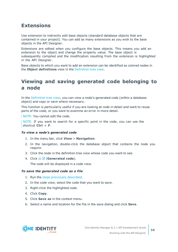## **Extensions**

Use extension to indirectly edit base objects (standard database objects that are contained in your project). You can add as many extensions as you wish to the base objects in the API Designer.

Extensions are edited when you configure the base objects. This means you add an extension to the object and change the property value. The base object is subsequently compiled and the modification resulting from the extension is highlighted in the API Designer.

Base objects to which you want to add an extension can be identified as colored nodes in the **Object definitions** view in the [Definition](#page-53-0) tree view.

# <span id="page-57-0"></span>**Viewing and saving generated code belonging to a node**

In the [Definition](#page-53-0) tree view, you can view a node's generated code (within a database object) and copy or save where necessary.

This function is particularly useful if you are looking at code in detail and want to reuse parts of the code, or you want to examine an error in more detail.

NOTE: You cannot edit the code.

NOTE: If you want to search for a specific point in the code, you can use the shortcut **Ctrl** + **F**.

### <span id="page-57-1"></span>*To view a node's generated code*

- 1. In the menu bar, click **View** > **Navigation**.
- 2. In the navigation, double-click the database object that contains the node you require.
- 3. Click the node in the definition tree view whose code you want to see.
- 4. Click (**Generated code**).

The code will be displayed in a code view.

### *To save the generated code as a file*

- 1. Run the steps [previously](#page-57-1) described.
- 2. In the code view, select the code that you want to save.
- 3. Right-click the highlighted code.
- 4. Click **Copy**.
- 5. Click **Save as** in the context menu.
- 6. Select a name and location for the file in the save dialog and click **Save**.

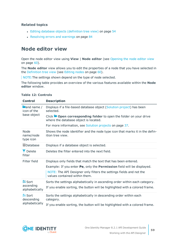- Editing database objects [\(definition](#page-53-0) tree view) on page 54
- [Resolving](#page-83-0) errors and warnings on page 84

# <span id="page-58-0"></span>**Node editor view**

Open the node editor view using **View** | **Node editor** (see [Opening](#page-59-0) the node editor view on [page](#page-59-0) 60).

The **Node editor** view allows you to edit the properties of a node that you have selected in the [Definition](#page-53-0) tree view (see [Editing](#page-59-1) nodes on page 60).

NOTE: The settings shown depend on the type of node selected.

The following table provides an overview of the various features available within the **Node editor** window.

| <b>Control</b>                                          | <b>Description</b>                                                                                                       |
|---------------------------------------------------------|--------------------------------------------------------------------------------------------------------------------------|
| $\blacksquare$ and name /<br>icon of the<br>base object | Displays if a file-based database object (Solution project) has been<br>selected.                                        |
|                                                         | Click $\blacksquare$ Open corresponding folder to open the folder on your drive<br>where the database object is located. |
|                                                         | For more information, see Solution projects on page 37.                                                                  |
| <b>Node</b><br>name/node<br>type icon                   | Shows the node identifier and the node type icon that marks it in the defin-<br>ition tree view.                         |
| ■Database                                               | Displays if a database object is selected.                                                                               |
| <b>T</b> Delete<br>filter                               | Deletes the filter entered into the next field.                                                                          |
| Filter field                                            | Displays only fields that match the text that has been entered.                                                          |
|                                                         | Example: If you enter Pe, only the Permission field will be displayed.                                                   |
|                                                         | NOTE: The API Designer only filters the settings fields and not the<br>values contained within them.                     |
| <b>2</b> Sort                                           | Sorts the settings alphabetically in ascending order within each category.                                               |
| ascending<br>alphabetically                             | If you enable sorting, the button will be highlighted with a colored frame.                                              |
| <b>Ži</b> Sort<br>descending                            | Sorts the settings alphabetically in descending order within each<br>category.                                           |
| alphabetically                                          | If you enable sorting, the button will be highlighted with a colored frame.                                              |

### **Table 12: Controls**

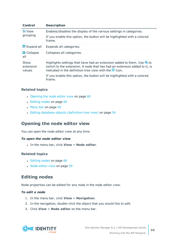| <b>Control</b>              | <b>Description</b>                                                                                                                                                                                                                           |
|-----------------------------|----------------------------------------------------------------------------------------------------------------------------------------------------------------------------------------------------------------------------------------------|
| <b>■↓View</b>               | Enables/disables the display of the various settings in categories.                                                                                                                                                                          |
| grouping                    | If you enable this option, the button will be highlighted with a colored<br>frame.                                                                                                                                                           |
| $\equiv$ Expand all         | Expands all categories.                                                                                                                                                                                                                      |
| <b>h</b> Collapse<br>all    | Collapses all categories.                                                                                                                                                                                                                    |
| Show<br>extension<br>values | Highlights settings that have had an extension added to them. Use $\mathbb{S}$ to<br>switch to the extension. A node that has had an extension added to it, is<br>indicated in the definition tree view with the $\blacktriangleright$ icon. |
|                             | If you enable this option, the button will be highlighted with a colored<br>frame.                                                                                                                                                           |

- [Opening](#page-59-0) the node editor view on page 60
- $\cdot$  [Editing](#page-59-1) nodes on page 60
- $\cdot$  [Menu](#page-39-0) bar on page 40
- Editing database objects [\(definition](#page-53-0) tree view) on page 54

## <span id="page-59-0"></span>**Opening the node editor view**

You can open the node editor view at any time.

### *To open the node editor view*

<sup>l</sup> In the menu bar, click **View** > **Node editor**.

### **Related topics**

- [Editing](#page-59-1) nodes on page 60
- Node [editor](#page-58-0) view on page 59

## <span id="page-59-1"></span>**Editing nodes**

Node properties can be edited for any node in the node editor view.

### *To edit a node*

- 1. In the menu bar, click **View** > **Navigation**.
- 2. In the navigation, double-click the object that you would like to edit.
- 3. Click **View** > **Node editor** on the menu bar.

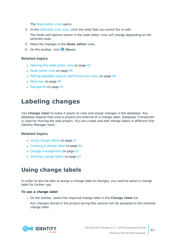The Node [editor](#page-58-0) view opens.

4. In the [Definition](#page-53-0) tree view, click the node that you would like to edit.

The fields and options shown in the node editor view will change depending on the selected node.

- 5. Make the changes in the **Node editor** view.
- 6. On the toolbar, click (**Save**).

### **Related topics**

- [Opening](#page-59-0) the node editor view on page 60
- $\cdot$  Node [editor](#page-58-0) view on page 59
- Editing database objects [\(definition](#page-53-0) tree view) on page 54
- $\cdot$  [Menu](#page-39-0) bar on page 40
- <span id="page-60-0"></span> $\cdot$  [Navigation](#page-44-0) on page 45

# **Labeling changes**

Use **Change label** to make it easier to view and assign changes in the database. Any database objects that yield a project are entered on a change label. Database Transporter is used for moving the web project. You can create and edit change labels in different One Identity Manager tools.

### **Related topics**

- Using [change](#page-60-1) labels on page 61
- [Creating](#page-61-0) a change label on page 62
- Change [management](#page-62-0) on page 63
- [Deleting](#page-62-1) change labels on page 63

# <span id="page-60-1"></span>**Using change labels**

In order to also be able to assign a change label to changes, you need to select a change label for further use.

### *To use a change label*

<sup>l</sup> On the toolbar, select the required change label in the **Change label** list.

Any changes stored in the project during this session will be assigned to the selected change label.

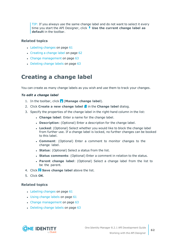TIP: If you always use the same change label and do not want to select it every time you start the API Designer, click **Use the current change label as default** in the toolbar.

## **Related topics**

- $\cdot$  [Labeling](#page-60-0) changes on page 61
- [Creating](#page-61-0) a change label on page 62
- Change [management](#page-62-0) on page 63
- [Deleting](#page-62-1) change labels on page 63

# <span id="page-61-0"></span>**Creating a change label**

You can create as many change labels as you wish and use them to track your changes.

### *To edit a change label*

- 1. In the toolbar, click (**Manage change label**).
- 2. Click **Create a new change label** in the **Change label** dialog.
- 3. Specify the properties of the change label in the right-hand column in the list:
	- **.** Change label: Enter a name for the change label.
	- **.** Description: (Optional) Enter a description for the change label.
	- **Locked:** (Optional) Select whether you would like to block the change label from further use. If a change label is locked, no further changes can be booked to this label.
	- **Comment**: (Optional) Enter a comment to monitor changes to the change label.
	- **. Status**: (Optional) Select a status from the list.
	- <sup>l</sup> **Status comments**: (Optional) Enter a comment in relation to the status.
	- <sup>l</sup> **Parent change label**: (Optional) Select a change label from the list to be the parent.
- 4. Click **Save change label** above the list.
- 5. Click **OK**.

## **Related topics**

- $\cdot$  [Labeling](#page-60-0) changes on page 61
- Using [change](#page-60-1) labels on page 61
- Change [management](#page-62-0) on page 63
- [Deleting](#page-62-1) change labels on page 63

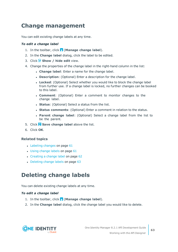# <span id="page-62-0"></span>**Change management**

You can edit existing change labels at any time.

### *To edit a change label*

- 1. In the toolbar, click (**Manage change label**).
- 2. In the **Change label** dialog, click the label to be edited.
- 3. Click **Show / hide edit** view.
- 4. Change the properties of the change label in the right-hand column in the list:
	- **.** Change label: Enter a name for the change label.
	- **.** Description: (Optional) Enter a description for the change label.
	- **Locked:** (Optional) Select whether you would like to block the change label from further use. If a change label is locked, no further changes can be booked to this label.
	- **. Comment**: (Optional) Enter a comment to monitor changes to the change label.
	- **. Status**: (Optional) Select a status from the list.
	- **. Status comments:** (Optional) Enter a comment in relation to the status.
	- <sup>l</sup> **Parent change label**: (Optional) Select a change label from the list to be the parent.
- 5. Click **Save change label** above the list.
- 6. Click **OK**.

### **Related topics**

- $\cdot$  [Labeling](#page-60-0) changes on page 61
- Using [change](#page-60-1) labels on page 61
- [Creating](#page-61-0) a change label on page 62
- [Deleting](#page-62-1) change labels on page 63

# <span id="page-62-1"></span>**Deleting change labels**

You can delete existing change labels at any time.

### *To edit a change label*

- 1. In the toolbar, click (**Manage change label**).
- 2. In the **Change label** dialog, click the change label you would like to delete.

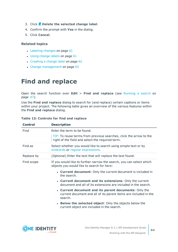- 3. Click **Delete the selected change label**.
- 4. Confirm the prompt with **Yes** in the dialog.
- 5. Click **Cancel**.

- $\cdot$  [Labeling](#page-60-0) changes on page 61
- Using [change](#page-60-1) labels on page 61
- [Creating](#page-61-0) a change label on page 62
- Change [management](#page-62-0) on page 63

# <span id="page-63-0"></span>**Find and replace**

Open the search function over **Edit** > **Find and replace** (see [Running](#page-66-1) a search on [page](#page-66-1) 67).

Use the **Find and replace** dialog to search for (and replace) certain captions or items within your project. The following table gives an overview of the various features within the **Find and replace** dialog.

| <b>Control</b> | <b>Description</b>                                                                                                                   |
|----------------|--------------------------------------------------------------------------------------------------------------------------------------|
| Find           | Enter the term to be found.                                                                                                          |
|                | TIP: To reuse terms from previous searches, click the arrow to the<br>right of the field and select the required term.               |
| Find as        | Select whether you would like to search using simple text or by<br>wildcards or regular expressions.                                 |
| Replace by     | (Optional) Enter the text that will replace the text found.                                                                          |
| Find scope     | If you would like to further narrow the search, you can select which<br>objects you would like to search for here:                   |
|                | • Current document: Only the current document is included in<br>the search.                                                          |
|                | • Current document and its extensions: Only the current<br>document and all of its extensions are included in the search.            |
|                | • Current document and its parent documents: Only the<br>current document and all of its parent items are included in the<br>search. |
|                | • Below the selected object: Only the objects below the<br>current object are included in the search.                                |

### **Table 13: Controls for find and replace**

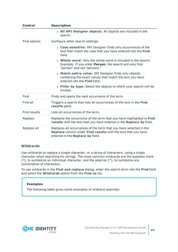| <b>Control</b> | <b>Description</b>                                                                                                                                                             |
|----------------|--------------------------------------------------------------------------------------------------------------------------------------------------------------------------------|
|                | • All API Designer objects: All objects are included in the<br>search.                                                                                                         |
| Find options   | Configure other search settings:                                                                                                                                               |
|                | • Case sensitive: API Designer finds only occurrences of the<br>text that match the case that you have entered into the Find<br>field.                                         |
|                | • Whole word: Only the whole word is included in the search.<br>Example: If you enter Person, the search will only find<br>"person" and not "persons."                         |
|                | • Match entire value: API Designer finds only objects<br>containing the exact values that match the text you have<br>entered into the Find field.                              |
|                | • Filter by type: Select the objects to which your search will be<br>limited.                                                                                                  |
| Find           | Finds and opens the next occurrence of the term.                                                                                                                               |
| Find all       | Triggers a search that lists all occurrences of the text in the Find<br>results pane.                                                                                          |
| Find results   | Lists all occurrences of the term.                                                                                                                                             |
| Replace        | Replaces the occurrence of the term that you have highlighted in Find<br>results with the text that you have entered in the Replace by field.                                  |
| Replace all    | Replaces all occurrences of the term that you have selected in the<br><b>Replace</b> column under Find results with the text that you have<br>entered in the Replace by field. |

### <span id="page-64-0"></span>**Wildcards**

Use wildcards to replace a single character, or a string of characters, using a single character when searching for strings. The most common wildcards are the question mark (?), to symbolize an individual character, and the asterisk (\*), to symbolize any combination of characters.

To use wildcards in the **Find and replace** dialog, enter the search term into the **Find** field and select the **Wildcards** option from the **Find as** list.

### **Examples**

The following table gives some examples of wildcard searches:

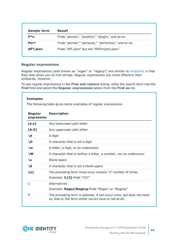| Sample term | <b>Result</b>                                        |
|-------------|------------------------------------------------------|
| $P^*n$      | Finds "person," "position," "plugin," and so on.     |
| $Per*$      | Finds "person," "personal," "perfection," and so on. |
| AP?.json    | Finds "API.json" but not "APIProject.json."          |

### <span id="page-65-0"></span>**Regular expressions**

Regular expressions (also known as "regex" or "regexp") are similar to [wildcards](#page-64-0) in that they also allow you to find strings. Regular expressions are more effective than wildcards, however.

To use regular expressions in the **Find and replace** dialog, enter the search term into the **Find** field and select the **Regular expressions** option from the **Find as** list.

| Regular<br>expression | <b>Description</b>                                                                                                              |
|-----------------------|---------------------------------------------------------------------------------------------------------------------------------|
| $[a-z]$               | Any lowercase Latin letter                                                                                                      |
| $[A-Z]$               | Any uppercase Latin letter                                                                                                      |
| \d                    | A digit                                                                                                                         |
| <b>\D</b>             | A character that is not a digit                                                                                                 |
| $\sqrt{w}$            | A letter, a digit, or an underscore                                                                                             |
| \W                    | A character that is neither a letter, a number, nor an underscore                                                               |
| \s                    | <b>Blank space</b>                                                                                                              |
| \S                    | A character that is not a blank space                                                                                           |
| $\{n\}$               | The preceding term must occur exactly "n" number of times.<br>Example: C{3} finds "CCC"                                         |
|                       | Alternatives                                                                                                                    |
|                       | Example: Regex   Regexp finds "Regex" or "Regexp"                                                                               |
| ?                     | The preceding term is optional, it can occur once, but does not need<br>to, that is, the term either occurs once or not at all. |

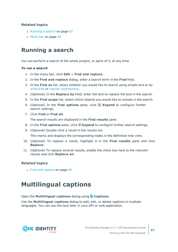- $\cdot$  [Running](#page-66-1) a search on page 67
- $\bullet$  [Menu](#page-39-0) bar on page 40

# <span id="page-66-1"></span>**Running a search**

You can perform a search of the whole project, or parts of it, at any time.

### *To run a search*

- 1. In the menu bar, click **Edit** > **Find and replace**.
- 2. In the **Find and replace** dialog, enter a search term in the **Find** field.
- 3. In the **Find as** list, select whether you would like to search using simple text or by [wildcards](#page-64-0) or regular [expressions](#page-65-0).
- 4. (Optional) In the **Replace by** field, enter the text to replace the text in the search.
- 5. In the **Find scope** list, select which objects you would like to include in the search.
- 6. (Optional) In the **Find options** pane, click  $\mathbb{E}$  **Expand** to configure further search settings.
- 7. Click **Find** or **Find all**.

The search results are displayed in the **Find results** pane

- 8. In the **Find options** pane, click **Expand** to configure further search settings.
- 9. (Optional) Double-click a result in the results list.

This marks and displays the corresponding nodes in the definition tree view.

- 10. (Optional) To replace a result, highlight it in the **Find results** pane and click **Replace**.
- 11. (Optional) To replace several results, enable the check box next to the relevant results and click **Replace all**.

### **Related topics**

 $\cdot$  Find and [replace](#page-63-0) on page 64

# <span id="page-66-0"></span>**Multilingual captions**

### Open the **Multilingual captions** dialog using **Captions**.

Use the **Multilingual captions** dialog to add, edit, or delete captions in multiple languages. You can use this text later in your API or web application.

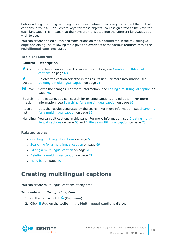Before adding or editing multilingual captions, define objects in your project that output captions in your API. You create keys for these objects. You assign a text to the keys for each language. This means that the keys are translated into the different languages you wish to use.

You can create and edit keys and translations on the **Captions** tab in the **Multilingual captions** dialog The following table gives an overview of the various features within the **Multilingual captions** dialog.

### **Table 14: Controls**

| <b>Control</b>               | <b>Description</b>                                                                                                                              |
|------------------------------|-------------------------------------------------------------------------------------------------------------------------------------------------|
| $\mathbf{H}$ Add             | Creates a new caption. For more information, see Creating multilingual<br>captions on page 68.                                                  |
| ŕ.<br>Delete                 | Deletes the caption selected in the results list. For more information, see<br>Deleting a multilingual caption on page 71.                      |
| $\overline{\mathbb{B}}$ Save | Saves the changes. For more information, see Editing a multilingual caption on<br>page 70.                                                      |
| Search<br>mask               | In this pane, you can search for existing captions and edit them. For more<br>information, see Searching for a multilingual caption on page 69. |
| Result<br>list               | Lists the results generated by the search. For more information, see Searching<br>for a multilingual caption on page 69.                        |
| Handling                     | You can edit captions in this pane. For more information, see Creating multi-                                                                   |

lingual [captions](#page-67-0) on page 68 and Editing a [multilingual](#page-69-0) caption on page 70.

### **Related topics**

- Creating [multilingual](#page-67-0) captions on page 68
- $\cdot$  Searching for a [multilingual](#page-68-0) caption on page 69
- $\cdot$  Editing a [multilingual](#page-69-0) caption on page 70
- $\bullet$  Deleting a [multilingual](#page-70-0) caption on page 71
- $\cdot$  [Menu](#page-39-0) bar on page 40

# <span id="page-67-0"></span>**Creating multilingual captions**

You can create multilingual captions at any time.

### *To create a multilingual caption*

- 1. On the toolbar, click (**Captions**).
- 2. Click **Add** on the toolbar in the **Multilingual captions** dialog.

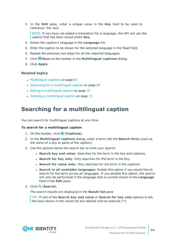3. In the **Edit** pane, enter a unique value in the **Key** field to be used to reference the text.

NOTE: If you have not added a translation for a language, the API will use the caption that has been saved under **Key**.

- 4. Select the caption's language in the **Language** list.
- 5. Enter the caption to be shown for the selected language in the **Text** field.
- 6. Repeat the previous two steps for all the required languages.
- 7. Click **Save** on the toolbar in the **Multilingual captions** dialog.
- 8. Click **Apply**.

#### **Related topics**

- [Multilingual](#page-66-0) captions on page 67
- Searching for a [multilingual](#page-68-0) caption on page 69
- Editing a [multilingual](#page-69-0) caption on page 70
- <span id="page-68-0"></span> $\bullet$  Deleting a [multilingual](#page-70-0) caption on page 71

## **Searching for a multilingual caption**

You can search for multilingual captions at any time.

#### *To search for a multilingual caption*

- 1. On the toolbar, click (**Captions**).
- 2. In the **Multilingual captions** dialog, enter a term into the **Search form** (such as the name of a key or parts of the caption).
- 3. Use the options below the search bar to limit your search:
	- <sup>l</sup> **Search key and value**: Searches for the term in the key and captions.
	- **. Search for key only**: Only searches for the term in the key.
	- **. Search for value only:** Only searches for the term in the captions.
	- <sup>l</sup> **Search in all available languages**: Enable this option if you would like to search for the term across all languages. If you disable this option, the search will only be performed in the language that is current shown in the **Language** field in the **Edit** pane.
- 4. Click (**Search**).

The search results are displayed in the **Result list** pane

TIP: If one of the **Search key and value** or **Search for key only** options is set, the keys shown in the result list are labeled with an asterisk (\*).

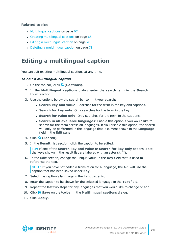- $\cdot$  [Multilingual](#page-66-0) captions on page 67
- Creating [multilingual](#page-67-0) captions on page 68
- $\cdot$  Editing a [multilingual](#page-69-0) caption on page 70
- $\bullet$  Deleting a [multilingual](#page-70-0) caption on page 71

# <span id="page-69-0"></span>**Editing a multilingual caption**

You can edit existing multilingual captions at any time.

### *To edit a multilingual caption*

- 1. On the toolbar, click (**Captions**).
- 2. In the **Multilingual captions** dialog, enter the search term in the **Search form** section.
- 3. Use the options below the search bar to limit your search:
	- **. Search key and value**: Searches for the term in the key and captions.
	- **. Search for key only**: Only searches for the term in the key.
	- **. Search for value only:** Only searches for the term in the captions.
	- <sup>l</sup> **Search in all available languages**: Enable this option if you would like to search for the term across all languages. If you disable this option, the search will only be performed in the language that is current shown in the **Language** field in the **Edit** pane.
- 4. Click (**Search**).
- 5. In the **Result list** section, click the caption to be edited.

TIP: If one of the **Search key and value** or **Search for key only** options is set, the keys shown in the result list are labeled with an asterisk (\*).

6. In the **Edit** section, change the unique value in the **Key** field that is used to reference the text.

NOTE: If you have not added a translation for a language, the API will use the caption that has been saved under **Key**.

- 7. Select the caption's language in the **Language** list.
- 8. Enter the caption to be shown for the selected language in the **Text** field.
- 9. Repeat the last two steps for any languages that you would like to change or add.
- 10. Click **Save** on the toolbar in the **Multilingual captions** dialog.
- 11. Click **Apply**.

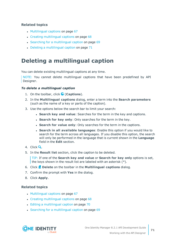- $\cdot$  [Multilingual](#page-66-0) captions on page 67
- Creating [multilingual](#page-67-0) captions on page 68
- Searching for a [multilingual](#page-68-0) caption on page 69
- $\bullet$  Deleting a [multilingual](#page-70-0) caption on page 71

# <span id="page-70-0"></span>**Deleting a multilingual caption**

You can delete existing multilingual captions at any time.

NOTE: You cannot delete multilingual captions that have been predefined by API Designer.

### *To delete a multilingual caption*

- 1. On the toolbar, click (**Captions**).
- 2. In the **Multilingual captions** dialog, enter a term into the **Search parameters** (such as the name of a key or parts of the caption).
- 3. Use the options below the search bar to limit your search:
	- <sup>l</sup> **Search key and value**: Searches for the term in the key and captions.
	- **. Search for key only**: Only searches for the term in the key.
	- **. Search for value only:** Only searches for the term in the captions.
	- <sup>l</sup> **Search in all available languages**: Enable this option if you would like to search for the term across all languages. If you disable this option, the search will only be performed in the language that is current shown in the **Language** field in the **Edit** section.
- 4. Click  $\mathbf Q$
- 5. In the **Result list** section, click the caption to be deleted.

TIP: If one of the **Search key and value** or **Search for key only** options is set, the keys shown in the result list are labeled with an asterisk (\*).

- 6. Click **Delete** on the toolbar in the **Multilingual captions** dialog.
- 7. Confirm the prompt with **Yes** in the dialog.
- 8. Click **Apply**.

## **Related topics**

- $\cdot$  [Multilingual](#page-66-0) captions on page 67
- Creating [multilingual](#page-67-0) captions on page 68
- Editing a [multilingual](#page-69-0) caption on page 70
- Searching for a [multilingual](#page-68-0) caption on page 69



**71**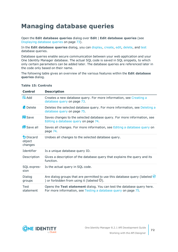# <span id="page-71-0"></span>**Managing database queries**

Open the **Edit database queries** dialog over **Edit** | **Edit database queries** (see [Displaying](#page-72-0) database queries on page 73).

In the **Edit database queries** dialog, you can [display](#page-72-0), [create](#page-72-1), [edit,](#page-73-0) [delete](#page-74-0), and [test](#page-74-1) database queries.

Database queries enable secure communication between your web application and your One Identity Manager database. The actual SQL code is saved in SQL snippets, to which only certain parameters can be added later. The database queries are referenced later in the code only based on their name.

The following table gives an overview of the various features within the **Edit database queries** dialog.

| <b>Control</b>                   | <b>Description</b>                                                                                                                           |
|----------------------------------|----------------------------------------------------------------------------------------------------------------------------------------------|
| <b>配 Add</b>                     | Creates a new database query. For more information, see Creating a<br>database query on page 73.                                             |
| <b>Ex</b> Delete                 | Deletes the selected database query. For more information, see Deleting a<br>database query on page 75.                                      |
| <b>B</b> Save                    | Saves changes to the selected database query. For more information, see<br>Editing a database query on page 74.                              |
| Save all                         | Saves all changes. For more information, see Editing a database query on<br>page 74.                                                         |
| $D$ Discard<br>object<br>changes | Undoes all changes to the selected database query.                                                                                           |
| Identifier                       | Is a unique database query ID.                                                                                                               |
| Description                      | Gives a description of the database query that explains the query and its<br>function.                                                       |
| SQL expres-<br>sion              | Is the actual query in SQL code.                                                                                                             |
| Dialog<br>groups                 | Are dialog groups that are permitted to use this database query (labeled $\bigcirc$<br>) or forbidden from using it (labeled $\mathbf{C}$ ). |
| Test<br>statement                | Opens the Test statement dialog. You can test the database query here.<br>For more information, see Testing a database query on page 75.     |

### **Table 15: Controls**

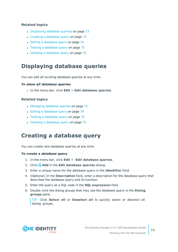- [Displaying](#page-72-0) database queries on page 73
- Creating a [database](#page-72-1) query on page 73
- Editing a [database](#page-73-0) query on page 74
- Testing a [database](#page-74-0) query on page 75
- Deleting a [database](#page-74-1) query on page 75

### <span id="page-72-0"></span>**Displaying database queries**

You can edit all existing database queries at any time.

### *To show all database queries*

<sup>l</sup> In the menu bar, click **Edit** > **Edit database queries**.

### **Related topics**

- [Managing](#page-71-0) database queries on page 72
- Editing a [database](#page-73-0) query on page 74
- Testing a [database](#page-74-0) query on page 75
- Deleting a [database](#page-74-1) query on page 75

## <span id="page-72-1"></span>**Creating a database query**

You can create new database queries at any time.

#### *To create a database query*

- 1. In the menu bar, click **Edit** > **Edit database queries**.
- 2. Click **Add** in the **Edit database queries** dialog.
- 3. Enter a unique name for the database query in the **Identifier** field.
- 4. (Optional) In the **Description** field, enter a description for the database query that describes the database query and its function.
- 5. Enter the query as a SQL code in the **SQL expression** field.
- 6. Double-click the dialog groups that may use the database query in the **Dialog groups** pane.

TIP: Click **Select all** or **Deselect all** to quickly select or deselect all dialog groups.

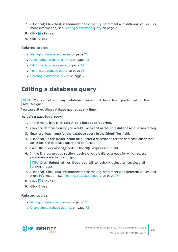- 7. (Optional) Click **Test statement** to test the SQL statement with different values. For more information, see Testing a [database](#page-74-0) query on page 75.
- 8. Click (**Save**).
- 9. Click **Close**.

- [Managing](#page-71-0) database queries on page 72
- [Displaying](#page-72-0) database queries on page 73
- Editing a [database](#page-73-0) query on page 74
- Testing a [database](#page-74-0) query on page 75
- Deleting a [database](#page-74-1) query on page 75

### <span id="page-73-0"></span>**Editing a database query**

NOTE: You cannot edit any database queries that have been predefined by the API Designer.

You can edit existing database queries at any time.

#### *To edit a database query*

- 1. In the menu bar, click **Edit** > **Edit database queries**.
- 2. Click the database query you would like to edit in the **Edit database queries** dialog.
- 3. Enter a unique name for the database query in the **Identifier** field.
- 4. (Optional) In the **Description** field, enter a description for the database query that describes the database query and its function.
- 5. Enter the query as a SQL code in the **SQL expression** field.
- 6. In the **Dialog groups** section, double-click the dialog groups for which access permissions are to be changed.

TIP: Click **Select all** or **Deselect all** to quickly select or deselect all dialog groups.

- 7. (Optional) Click **Test statement** to test the SQL statement with different values. For more information, see Testing a [database](#page-74-0) query on page 75.
- 8. Click (**Save**).
- 9. Click **Close**.

- [Managing](#page-71-0) database queries on page 72
- [Displaying](#page-72-0) database queries on page 73

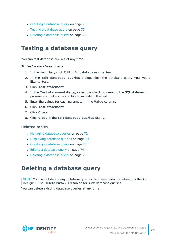- Creating a [database](#page-72-1) query on page 73
- Testing a [database](#page-74-0) query on page 75
- $\cdot$  Deleting a [database](#page-74-1) query on page 75

### <span id="page-74-0"></span>**Testing a database query**

You can test database queries at any time.

### *To test a database query*

- 1. In the menu bar, click **Edit** > **Edit database queries**.
- 2. In the **Edit database queries** dialog, click the database query you would like to test.
- 3. Click **Test statement**.
- 4. In the **Test statement** dialog, select the check box next to the SQL statement parameters that you would like to include in the test.
- 5. Enter the values for each parameter in the **Value** column.
- 6. Click **Test statement**.
- 7. Click **Close**.
- 8. Click **Close** in the **Edit database queries** dialog.

### **Related topics**

- [Managing](#page-71-0) database queries on page 72
- [Displaying](#page-72-0) database queries on page 73
- Creating a [database](#page-72-1) query on page 73
- Editing a [database](#page-73-0) query on page 74
- Deleting a [database](#page-74-1) query on page 75

## <span id="page-74-1"></span>**Deleting a database query**

NOTE: You cannot delete any database queries that have been predefined by the API Designer. The **Delete** button is disabled for such database queries.

You can delete existing database queries at any time.

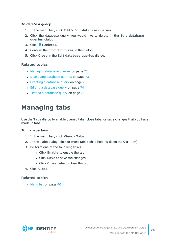### *To delete a query*

- 1. In the menu bar, click **Edit** > **Edit database queries**.
- 2. Click the database query you would like to delete in the **Edit database queries** dialog.
- 3. Click (**Delete**).
- 4. Confirm the prompt with **Yes** in the dialog.
- 5. Click **Close** in the **Edit database queries** dialog.

### **Related topics**

- [Managing](#page-71-0) database queries on page 72
- [Displaying](#page-72-0) database queries on page 73
- Creating a [database](#page-72-1) query on page 73
- Editing a [database](#page-73-0) query on page 74
- Testing a [database](#page-74-0) query on page 75

## **Managing tabs**

Use the **Tabs** dialog to enable opened tabs, close tabs, or save changes that you have made in tabs.

### *To manage tabs*

- 1. In the menu bar, click **View** > **Tabs**.
- 2. In the **Tabs** dialog, click or more tabs (while holding down the **Ctrl** key).
- 3. Perform one of the following tasks:
	- **.** Click **Enable** to enable the tab.
	- **.** Click **Save** to save tab changes.
	- <sup>l</sup> Click **Close tabs** to close the tab.
- 4. Click **Close**.

### **Related topics**

• [Menu](#page-39-0) bar on page 40

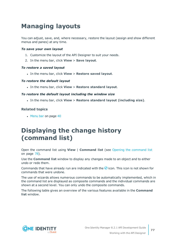# **Managing layouts**

You can adjust, save, and, where necessary, restore the layout (assign and show different menus and panes) at any time.

### *To save your own layout*

- 1. Customize the layout of the API Designer to suit your needs.
- 2. In the menu bar, click **View** > **Save layout**.

### *To restore a saved layout*

<sup>l</sup> In the menu bar, click **View** > **Restore saved layout**.

### *To restore the default layout*

<sup>l</sup> In the menu bar, click **View** > **Restore standard layout**.

### *To restore the default layout including the window size*

<sup>l</sup> In the menu bar, click **View** > **Restore standard layout (including size)**.

### **Related topics**

• [Menu](#page-39-0) bar on page 40

## <span id="page-76-0"></span>**Displaying the change history (command list)**

Open the command list using **View** | **Command list** (see Opening the [command](#page-77-0) list on [page](#page-77-0) 78).

Use the **Command list** window to display any changes made to an object and to either undo or redo them.

Commands that have already run are indicated with the  $\bigcirc$  icon. This icon is not shown for commands that were undone.

The use of wizards allows numerous commands to be automatically implemented, which in the command list are displayed as composite commands and the individual commands are shown at a second level. You can only undo the composite commands.

The following table gives an overview of the various features available in the **Command list** window.

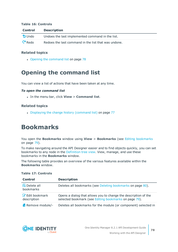#### **Table 16: Controls**

| <b>Control</b>    | <b>Description</b>                                   |
|-------------------|------------------------------------------------------|
| $\bigcirc$ Undo   | Undoes the last implemented command in the list.     |
| $\mathsf{C}$ Redo | Redoes the last command in the list that was undone. |

### **Related topics**

• Opening the [command](#page-77-0) list on page 78

## <span id="page-77-0"></span>**Opening the command list**

You can view a list of actions that have been taken at any time.

#### *To open the command list*

<sup>l</sup> In the menu bar, click **View** > **Command list**.

#### **Related topics**

<span id="page-77-1"></span>• Displaying the change history [\(command](#page-76-0) list) on page 77

## **Bookmarks**

You open the **Bookmarks** window using **View** > **Bookmarks** (see Editing [bookmarks](#page-78-0) on [page](#page-78-0) 79).

To make navigating around the API Designer easier and to find objects quickly, you can set bookmarks to any node in the [Definition](#page-53-0) tree view. View, manage, and use these bookmarks in the **Bookmarks** window.

The following table provides an overview of the various features available within the **Bookmarks** window.

| <b>Control</b>                        | <b>Description</b>                                                                                                       |
|---------------------------------------|--------------------------------------------------------------------------------------------------------------------------|
| ex Delete all<br>bookmarks            | Deletes all bookmarks (see Deleting bookmarks on page 80).                                                               |
| <b>Z</b> Edit bookmark<br>description | Opens a dialog that allows you to change the description of the<br>selected bookmark (see Editing bookmarks on page 79). |
| <b>x</b> Remove module/-              | Deletes all bookmarks for the module (or component) selected in                                                          |

### **Table 17: Controls**

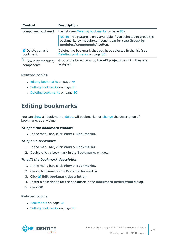| <b>Control</b>                            | <b>Description</b>                                                                                                                                      |
|-------------------------------------------|---------------------------------------------------------------------------------------------------------------------------------------------------------|
|                                           | component bookmark the list (see Deleting bookmarks on page 80).                                                                                        |
|                                           | NOTE: This feature is only available if you selected to group the<br>bookmarks by module/component earlier (see Group by<br>modules/components) button. |
| <b>Ex</b> Delete current<br>bookmark      | Deletes the bookmark that you have selected in the list (see<br>Deleting bookmarks on page 80).                                                         |
| $\equiv$ Group by modules/-<br>components | Groups the bookmarks by the API projects to which they are<br>assigned.                                                                                 |

- Editing [bookmarks](#page-78-0) on page 79
- Setting [bookmarks](#page-79-1) on page 80
- $\cdot$  Deleting [bookmarks](#page-79-0) on page 80

## <span id="page-78-0"></span>**Editing bookmarks**

You can [show](#page-78-1) all bookmarks, [delete](#page-78-2) all bookmarks, or [change](#page-78-3) the description of bookmarks at any time.

#### <span id="page-78-1"></span>*To open the bookmark window*

<sup>l</sup> In the menu bar, click **View** > **Bookmarks**.

### <span id="page-78-2"></span>*To open a bookmark*

- 1. In the menu bar, click **View** > **Bookmarks**.
- 2. Double-click a bookmark in the **Bookmarks** window.

### <span id="page-78-3"></span>*To edit the bookmark description*

- 1. In the menu bar, click **View** > **Bookmarks**.
- 2. Click a bookmark in the **Bookmarks** window.
- 3. Click **Edit bookmark description**.
- 4. Insert a description for the bookmark in the **Bookmark description** dialog.
- 5. Click **OK**.

- [Bookmarks](#page-77-1) on page 78
- Setting [bookmarks](#page-79-1) on page 80

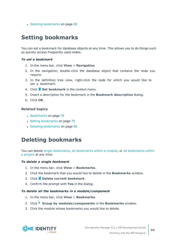• Deleting [bookmarks](#page-79-0) on page 80

## <span id="page-79-1"></span>**Setting bookmarks**

You can set a bookmark for database objects at any time. This allows you to do things such as quickly access frequently used nodes.

### *To set a bookmark*

- 1. In the menu bar, click **View** > **Navigation**.
- 2. In the navigation, double-click the database object that contains the node you require.
- 3. In the definition tree view, right-click the node for which you would like to set a bookmark.
- 4. Click **Set bookmark** in the context menu.
- 5. Insert a description for the bookmark in the **Bookmark description** dialog.
- 6. Click **OK**.

### **Related topics**

- **.** [Bookmarks](#page-77-1) on page 78
- Editing [bookmarks](#page-78-0) on page 79
- Deleting [bookmarks](#page-79-0) on page 80

## <span id="page-79-0"></span>**Deleting bookmarks**

You can delete single [bookmarks](#page-80-0), all bookmarks within a module, or all bookmarks within a [project](#page-80-0) at any time.

### <span id="page-79-2"></span>*To delete a single bookmark*

- 1. In the menu bar, click **View** > **Bookmarks**.
- 2. Click the bookmark that you would like to delete in the **Bookmarks** window.
- 3. Click **Delete current bookmark**.
- 4. Confirm the prompt with **Yes** in the dialog.

#### <span id="page-79-3"></span>*To delete all the bookmarks in a module/component*

- 1. In the menu bar, click **View** > **Bookmarks**.
- 2. Click **Group by modules/components** in the **Bookmarks** window.
- 3. Click the module whose bookmarks you would like to delete.

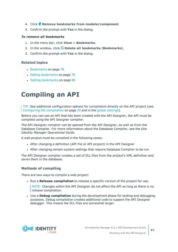- 4. Click **Remove bookmarks from module/component**.
- 5. Confirm the prompt with **Yes** in the dialog.

#### <span id="page-80-0"></span>*To remove all bookmarks*

- 1. In the menu bar, click **View** > **Bookmarks**.
- 2. In the window, click **Delete all bookmarks** (**Bookmarks**).
- 3. Confirm the prompt with **Yes** in the dialog.

### **Related topics**

- [Bookmarks](#page-77-1) on page 78
- Editing [bookmarks](#page-78-0) on page 79
- Setting [bookmarks](#page-79-1) on page 80

# <span id="page-80-1"></span>**Compiling an API**

TIP: See additional configuration options for compilation directly on the API project (see Configuring the [compilation](#page-28-0) on page 29 and in the global [settings\)](#page-48-0).

Before you can use an API that has been created with the API Designer, the API must be compiled using the API Designer compiler.

The API Designer compiler can be opened from the API Designer, as well as from the Database Compiler. For more information about the Database Compiler, see the *One Identity Manager Operational Guide*.

A web project must be compiled in the following cases:

- After changing a definition (API file or API project) in the API Designer
- After changing certain system settings that require Database Compiler to be run

The API Designer compiler creates a set of DLL files from the project's XML definition and saves them in the database.

### **Methods of compiling**

There are two ways to compile a web project:

**.** Run a **Release compilation** to release a specific version of the project for use.

NOTE: Changes within the API Designer do not affect the API as long as there is no release compilation.

<span id="page-80-2"></span>**.** Use a **Debug compilation** during the development phase for testing and debugging purposes. Debug compilation creates additional code to support the API Designer debugger. This means the DLL files are somewhat larger.

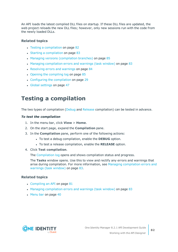An API loads the latest compiled DLL files on startup. If these DLL files are updated, the web project reloads the new DLL files; however, only new sessions run with the code from the newly loaded DLLs.

### **Related topics**

- Testing a [compilation](#page-81-0) on page 82
- Starting a [compilation](#page-82-0) on page 83
- Managing versions [\(compilation](#page-84-0) branches) on page 85
- Managing [compilation](#page-82-1) errors and warnings (task window) on page 83
- [Resolving](#page-83-0) errors and warnings on page 84
- $\cdot$  Opening the [compiling](#page-84-1) log on page 85
- Configuring the [compilation](#page-28-0) on page 29
- Global [settings](#page-46-0) on page 47

## <span id="page-81-0"></span>**Testing a compilation**

The two types of compilation [\(Debug](#page-81-1) and [Release](#page-81-2) compilation) can be tested in advance.

### *To test the compilation*

- 1. In the menu bar, click **View** > **Home**.
- 2. On the start page, expand the **Compilation** pane.
- <span id="page-81-2"></span><span id="page-81-1"></span>3. In the **Compilation** pane, perform one of the following actions:
	- **.** To test a debug compilation, enable the **DEBUG** option.
	- **.** To test a release compilation, enable the RELEASE option.
- 4. Click **Test compilation**.

The [Compilation](#page-84-1) log opens and shows compilation status and progress.

The **Tasks** window opens. Use this to view and rectify any errors and warnings that arise during compilation. For more information, see Managing [compilation](#page-82-1) errors and [warnings](#page-82-1) (task window) on page 83.

- [Compiling](#page-80-1) an API on page 81
- Managing [compilation](#page-82-1) errors and warnings (task window) on page 83
- $\cdot$  [Menu](#page-39-0) bar on page 40

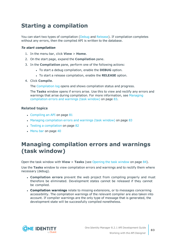## <span id="page-82-0"></span>**Starting a compilation**

You can start two types of compilation ([Debug](#page-82-2) and [Release](#page-82-3)). If compilation completes without any errors, then the compiled API is written to the database.

### *To start compilation*

- 1. In the menu bar, click **View** > **Home**.
- 2. On the start page, expand the **Compilation** pane.
- <span id="page-82-3"></span><span id="page-82-2"></span>3. In the **Compilation** pane, perform one of the following actions:
	- **.** To start a debug compilation, enable the **DEBUG** option.
	- **.** To start a release compilation, enable the **RELEASE** option.
- 4. Click **Compile**.

The [Compilation](#page-84-1) log opens and shows compilation status and progress.

The **Tasks** window opens if errors arise. Use this to view and rectify any errors and warnings that arise during compilation. For more information, see [Managing](#page-82-1) [compilation](#page-82-1) errors and warnings (task window) on page 83.

### **Related topics**

- $\cdot$  [Compiling](#page-80-1) an API on page  $81$
- Managing [compilation](#page-82-1) errors and warnings (task window) on page 83
- Testing a [compilation](#page-81-0) on page 82
- $\cdot$  [Menu](#page-39-0) bar on page 40

## <span id="page-82-1"></span>**Managing compilation errors and warnings (task window)**

Open the task window with **View** > **Tasks** (see [Opening](#page-83-1) the task window on page 84).

Use the **Tasks** window to view compilation errors and warnings and to rectify them where necessary (debug).

- **. Compilation errors** prevent the web project from compiling properly and must therefore be eliminated. Development states cannot be released if they cannot be compiled.
- **. Compilation warnings** relate to missing extensions, or to messages concerning accessibility. The compilation warnings of the relevant compiler are also taken into account. If compiler warnings are the only type of message that is generated, the development state will be successfully compiled nonetheless.

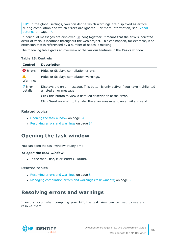TIP: In the global settings, you can define which warnings are displayed as errors during compilation and which errors are ignored. For more information, see [Global](#page-46-0) [settings](#page-46-0) on page 47.

If individual messages are displayed ( $\equiv$  icon) together, it means that the errors indicated occur at various locations throughout the web project. This can happen, for example, if an extension that is referenced by a number of nodes is missing.

The following table gives an overview of the various features in the **Tasks** window.

### **Table 18: Controls**

| <b>Control</b>              | <b>Description</b>                                                                                        |
|-----------------------------|-----------------------------------------------------------------------------------------------------------|
| <b>O</b> Errors             | Hides or displays compilation errors.                                                                     |
| Warnings                    | Hides or displays compilation warnings.                                                                   |
| $\epsilon$ Error<br>details | Displays the error message. This button is only active if you have highlighted<br>a listed error message. |
|                             | Click this button to view a detailed description of the error.                                            |
|                             | Click Send as mail to transfer the error message to an email and send.                                    |

### **Related topics**

- [Opening](#page-83-1) the task window on page 84
- [Resolving](#page-83-0) errors and warnings on page 84

### <span id="page-83-1"></span>**Opening the task window**

You can open the task window at any time.

### *To open the task window*

<sup>l</sup> In the menu bar, click **View** > **Tasks**.

### **Related topics**

- [Resolving](#page-83-0) errors and warnings on page 84
- Managing [compilation](#page-82-1) errors and warnings (task window) on page 83

### <span id="page-83-0"></span>**Resolving errors and warnings**

If errors occur when compiling your API, the task view can be used to see and resolve them.

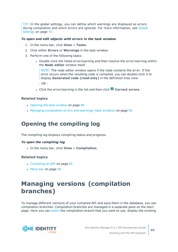TIP: In the global settings, you can define which warnings are displayed as errors during compilation and which errors are ignored. For more information, see [Global](#page-46-0) [settings](#page-46-0) on page 47.

### *To open and edit objects with errors in the task window*

- 1. In the menu bar, click **View** > **Tasks**.
- 2. Click either **Errors** or **Warnings** in the task window.
- 3. Perform one of the following tasks:
	- Double-click the listed error/warning and then resolve the error/warning within the **Node editor** window itself.

NOTE: The node editor window opens if the node contains the error. If the error occurs when the resulting code is compiled, you can double-click it to display **Generated code (read-only)** in the definition tree view.

 $-$  OR  $-$ 

**.** Click the error/warning in the list and then click **Correct errors**.

### **Related topics**

- [Opening](#page-83-1) the task window on page 84
- Managing [compilation](#page-82-1) errors and warnings (task window) on page 83

## <span id="page-84-1"></span>**Opening the compiling log**

The compiling log displays compiling status and progress.

### *To open the compiling log*

<sup>l</sup> In the menu bar, click **View** > **Compilation**.

### **Related topics**

- $\cdot$  [Compiling](#page-80-1) an API on page  $81$
- $\cdot$  [Menu](#page-39-0) bar on page 40

## <span id="page-84-0"></span>**Managing versions (compilation branches)**

To manage different versions of your compiled API and save them in the database, you use compilation branches. Compilation branches are managed in a separate pane on the start page. Here you can [select](#page-85-0) the compilation branch that you want to use, display the existing

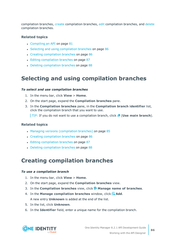compilation branches, [create](#page-85-1) compilation branches, [edit](#page-86-0) compilation branches, and [delete](#page-87-0) compilation branches.

### **Related topics**

- $\bullet$  [Compiling](#page-80-1) an API on page  $81$
- Selecting and using [compilation](#page-85-0) branches on page 86
- Creating [compilation](#page-85-1) branches on page 86
- Editing [compilation](#page-86-0) branches on page 87
- Deleting [compilation](#page-87-0) branches on page 88

## <span id="page-85-0"></span>**Selecting and using compilation branches**

### *To select and use compilation branches*

- 1. In the menu bar, click **View** > **Home**.
- 2. On the start page, expand the **Compilation branches** pane.
- 3. In the **Compilation branches** pane, in the **Compilation branch identifier** list, click the compilation branch that you want to use.

**TIP:** If you do not want to use a compilation branch, click **A** (Use main branch).

### **Related topics**

- Managing versions [\(compilation](#page-84-0) branches) on page 85
- Creating [compilation](#page-85-1) branches on page 86
- Editing [compilation](#page-86-0) branches on page 87
- Deleting [compilation](#page-87-0) branches on page 88

### <span id="page-85-1"></span>**Creating compilation branches**

#### *To use a compilation branch*

- 1. In the menu bar, click **View** > **Home**.
- 2. On the start page, expand the **Compilation branches** view.
- 3. In the **Compilation branches** view, click **Manage name of branches**.
- 4. In the **Manage compilation branches** window, click **Add**. A new entry **Unknown** is added at the end of the list.
- 5. In the list, click **Unknown**.
- 6. In the **Identifier** field, enter a unique name for the compilation branch.

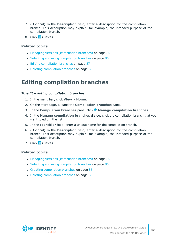- 7. (Optional) In the **Description** field, enter a description for the compilation branch. This description may explain, for example, the intended purpose of the compilation branch.
- 8. Click (**Save**).

- Managing versions [\(compilation](#page-84-0) branches) on page 85
- Selecting and using [compilation](#page-85-0) branches on page 86
- Editing [compilation](#page-86-0) branches on page 87
- Deleting [compilation](#page-87-0) branches on page 88

### <span id="page-86-0"></span>**Editing compilation branches**

#### *To edit existing compilation branches*

- 1. In the menu bar, click **View** > **Home**.
- 2. On the start page, expand the **Compilation branches** pane.
- 3. In the **Compilation branches** pane, click **Manage compilation branches**.
- 4. In the **Manage compilation branches** dialog, click the compilation branch that you want to edit in the list.
- 5. In the **Identifier** field, enter a unique name for the compilation branch.
- 6. (Optional) In the **Description** field, enter a description for the compilation branch. This description may explain, for example, the intended purpose of the compilation branch.
- 7. Click (**Save**).

- Managing versions [\(compilation](#page-84-0) branches) on page 85
- Selecting and using [compilation](#page-85-0) branches on page 86
- Creating [compilation](#page-85-1) branches on page 86
- Deleting [compilation](#page-87-0) branches on page 88

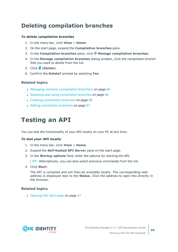## <span id="page-87-0"></span>**Deleting compilation branches**

### *To delete compilation branches*

- 1. In the menu bar, click **View** > **Home**.
- 2. On the start page, expand the **Compilation branches** pane.
- 3. In the **Compilation branches** pane, click **Manage compilation branches**.
- 4. In the **Manage compilation branches** dialog window, click the compilation branch that you want to delete from the list.
- 5. Click (**Delete**).
- 6. Confirm the **Delete?** prompt by selecting **Yes**.

### **Related topics**

- Managing versions [\(compilation](#page-84-0) branches) on page 85
- Selecting and using [compilation](#page-85-0) branches on page 86
- Creating [compilation](#page-85-1) branches on page 86
- Editing [compilation](#page-86-0) branches on page 87

## **Testing an API**

You can test the functionality of your API locally on your PC at any time.

### *To test your API locally*

- 1. In the menu bar, click **View** > **Home**.
- 2. Expand the **Self-hosted API Server** pane on the start page.
- 3. In the **Startup options** field, enter the options for starting the API.

TIP: Alternatively, you can also select previous commands from the list.

4. Click **Start**.

The API is compiled and will then be available locally. The corresponding web address is displayed next to the **Status**. Click the address to open this directly in the browser.

### **Related topics**

• [Opening](#page-46-1) the start page on page 47

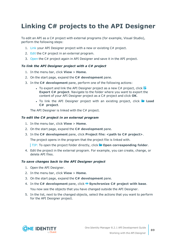# **Linking C# projects to the API Designer**

To edit an API as a C# project with external programs (for example, Visual Studio), perform the following steps:

- 1. [Link](#page-88-0) your API Designer project with a new or existing C# project.
- 2. [Edit](#page-88-1) the C# project in an external program.
- 3. [Open](#page-88-2) the C# project again in API Designer and save it in the API project.

### <span id="page-88-0"></span>*To link the API Designer project with a C# project*

- 1. In the menu bar, click **View** > **Home**.
- 2. On the start page, expand the **C# development** pane.
- 3. In the **C# development** pane, perform one of the following actions:
	- To export and link the API Designer project as a new  $C#$  project, click  $\mathbb{S}^2$ **Export C# project**. Navigate to the folder where you want to export the content of your API Designer project as a C# project and click **OK**.
	- **.** To link the API Designer project with an existing project, click **Load C# project**.

The API Designer is linked with the C# project.

### <span id="page-88-1"></span>*To edit the C# project in an external program*

- 1. In the menu bar, click **View** > **Home**.
- 2. On the start page, expand the **C# development** pane.
- 3. In the **C# development** pane, click **Project file: <path to C# project>**.

The project opens in the program that the project file is linked with.

TIP: To open the project folder directly, click **Open corresponding folder**.

4. Edit the project in the external program. For example, you can create, change, or delete API files.

#### <span id="page-88-2"></span>*To save changes back to the API Designer project*

- 1. Open the API Designer.
- 2. In the menu bar, click **View** > **Home**.
- 3. On the start page, expand the **C# development** pane.
- 4. In the **C# development** pane, click **Synchronize C# project with base**.

You now see the objects that you have changed outside the API Designer.

5. In the list, next to the changed objects, select the actions that you want to perform for the API Designer project.

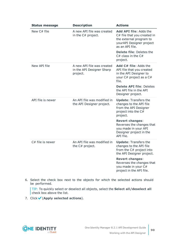| <b>Status message</b> | <b>Description</b>                                                  | <b>Actions</b>                                                                                                                                              |  |
|-----------------------|---------------------------------------------------------------------|-------------------------------------------------------------------------------------------------------------------------------------------------------------|--|
| New C# file           | A new API file was created<br>in the C# project.                    | Add API file: Adds the<br>C# file that you created in<br>the external program to<br>yourAPI Designer project<br>as an API file.<br>Delete file: Deletes the |  |
|                       |                                                                     | $C#$ class in the $C#$<br>project.                                                                                                                          |  |
| New API file          | A new API file was created<br>in the API Designer Sharp<br>project. | <b>Add C# file:</b> Adds the<br>API file that you created<br>in the API Designer to<br>your C# project as a C#<br>file.                                     |  |
|                       |                                                                     | <b>Delete API file: Deletes</b><br>the API file in the API<br>Designer project.                                                                             |  |
| API file is newer     | An API file was modified in<br>the API Designer project.            | <b>Update: Transfers the</b><br>changes to the API file<br>from the API Designer<br>project into the C#<br>project.                                         |  |
|                       |                                                                     | <b>Revert changes:</b><br>Reverses the changes that<br>you made in your API<br>Designer project in the<br>API file.                                         |  |
| C# file is newer      | An API file was modified in<br>the C# project.                      | <b>Update: Transfers the</b><br>changes to the API file<br>from the C# project into<br>the API Designer project.                                            |  |
|                       |                                                                     | <b>Revert changes:</b><br>Reverses the changes that<br>you made in your C#<br>project in the API file.                                                      |  |

6. Select the check box next to the objects for which the selected actions should be performed.

TIP: To quickly select or deselect all objects, select the **Select all/deselect all** check box above the list.

7. Click (**Apply selected actions**).

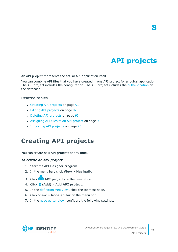# **API projects**

**8**

<span id="page-90-1"></span>An API project represents the actual API application itself.

You can combine API files that you have created in one API project for a logical application. The API project includes the configuration. The API project includes the [authentication](#page-24-0) on the database.

### **Related topics**

- [Creating](#page-90-0) API projects on page 91
- Editing API [projects](#page-91-0) on page 92
- [Deleting](#page-92-0) API projects on page 93
- [Assigning](#page-98-0) API files to an API project on page 99
- <span id="page-90-0"></span>• [Importing](#page-94-0) API projects on page 95

## **Creating API projects**

You can create new API projects at any time.

#### *To create an API project*

- 1. Start the API Designer program.
- 2. In the menu bar, click **View** > **Navigation**.
- 3. Click **API projects** in the navigation.
- 4. Click (**Add**) > **Add API project**.
- 5. In the [definition](#page-53-0) tree view, click the topmost node.
- 6. Click **View** > **Node editor** on the menu bar.
- 7. In the node [editor](#page-58-0) view, configure the following settings.

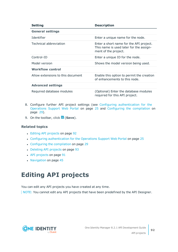| <b>Setting</b>                    | <b>Description</b>                                                                                         |  |  |
|-----------------------------------|------------------------------------------------------------------------------------------------------------|--|--|
| <b>General settings</b>           |                                                                                                            |  |  |
| Identifier                        | Enter a unique name for the node.                                                                          |  |  |
| Technical abbreviation            | Enter a short name for the API project.<br>This name is used later for the assign-<br>ment of the project. |  |  |
| Control-ID                        | Enter a unique ID for the node.                                                                            |  |  |
| Model version                     | Shows the model version being used.                                                                        |  |  |
| <b>Workflow control</b>           |                                                                                                            |  |  |
| Allow extensions to this document | Enable this option to permit the creation<br>of enhancements to this node.                                 |  |  |
| <b>Advanced settings</b>          |                                                                                                            |  |  |
| Required database modules         | (Optional) Enter the database modules<br>required for this API project.                                    |  |  |

- 8. Configure further API project settings (see Configuring [authentication](#page-24-0) for the [Operations](#page-24-0) Support Web Portal on page 25 and Configuring the [compilation](#page-28-0) on [page](#page-28-0) 29).
- 9. On the toolbar, click (**Save**).

- Editing API [projects](#page-91-0) on page 92
- Configuring [authentication](#page-24-0) for the Operations Support Web Portal on page 25
- Configuring the [compilation](#page-28-0) on page 29
- [Deleting](#page-92-0) API projects on page 93
- API [projects](#page-90-1) on page 91
- [Navigation](#page-44-0) on page 45

## <span id="page-91-0"></span>**Editing API projects**

You can edit any API projects you have created at any time.

NOTE: You cannot edit any API projects that have been predefined by the API Designer.

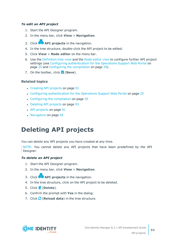### *To edit an API project*

- 1. Start the API Designer program.
- 2. In the menu bar, click **View** > **Navigation**.
- 3. Click **API projects** in the navigation.
- 4. In the tree structure, double-click the API project to be edited.
- 5. Click **View** > **Node editor** on the menu bar.
- 6. Use the [Definition](#page-53-0) tree view and the Node [editor](#page-58-0) view to configure further API project settings (see Configuring [authentication](#page-24-0) for the Operations Support Web Portal on [page](#page-24-0) 25 and Configuring the [compilation](#page-28-0) on page 29).
- 7. On the toolbar, click (**Save**).

### **Related topics**

- [Creating](#page-90-0) API projects on page 91
- Configuring [authentication](#page-24-0) for the Operations Support Web Portal on page 25
- Configuring the [compilation](#page-28-0) on page 29
- [Deleting](#page-92-0) API projects on page 93
- API [projects](#page-90-1) on page 91
- [Navigation](#page-44-0) on page 45

# <span id="page-92-0"></span>**Deleting API projects**

You can delete any API projects you have created at any time.

NOTE: You cannot delete any API projects that have been predefined by the API Designer.

### *To delete an API project*

- 1. Start the API Designer program.
- 2. In the menu bar, click **View** > **Navigation**.
- 3. Click **API projects** in the navigation.
- 4. In the tree structure, click on the API project to be deleted.
- 5. Click (**Delete**).
- 6. Confirm the prompt with **Yes** in the dialog.
- 7. Click (**Reload data**) in the tree structure.

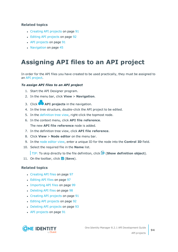- [Creating](#page-90-0) API projects on page 91
- Editing API [projects](#page-91-0) on page 92
- API [projects](#page-90-1) on page 91
- [Navigation](#page-44-0) on page 45

# **Assigning API files to an API project**

In order for the API files you have created to be used practically, they must be assigned to an API [project.](#page-90-1)

### *To assign API files to an API project*

- 1. Start the API Designer program.
- 2. In the menu bar, click **View** > **Navigation**.
- 3. Click **API projects** in the navigation.
- 4. In the tree structure, double-click the API project to be edited.
- 5. In the [definition](#page-53-0) tree view, right-click the topmost node.
- 6. In the context menu, click **API file reference**. The new **API file reference** node is added.
- 7. In the definition tree view, click **API file reference**.
- 8. Click **View** > **Node editor** on the menu bar.
- 9. In the node [editor](#page-58-0) view, enter a unique ID for the node into the **Control ID** field.
- 10. Select the required file in the **Name** list.

TIP: To skip directly to the file definition, click (**Show definition object**).

11. On the toolbar, click **d** (Save).

- [Creating](#page-96-0) API files on page 97
- [Editing](#page-96-1) API files on page 97
- [Importing](#page-98-1) API files on page 99
- [Deleting](#page-97-0) API files on page 98
- [Creating](#page-90-0) API projects on page 91
- Editing API [projects](#page-91-0) on page 92
- [Deleting](#page-92-0) API projects on page 93
- API [projects](#page-90-1) on page 91

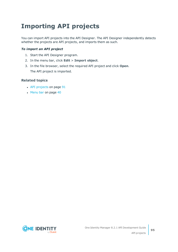# <span id="page-94-0"></span>**Importing API projects**

You can import API projects into the API Designer. The API Designer independently detects whether the projects are API projects, and imports them as such.

### *To import an API project*

- 1. Start the API Designer program.
- 2. In the menu bar, click **Edit** > **Import object**.
- 3. In the file browser, select the required API project and click **Open**. The API project is imported.

- API [projects](#page-90-1) on page 91
- $\bullet$  [Menu](#page-39-0) bar on page  $40$

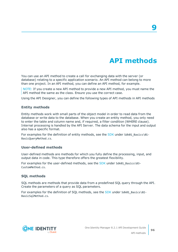# **API methods**

<span id="page-95-0"></span>You can use an API method to create a call for exchanging data with the server (or database) relating to a specific application scenario. An API method can belong to more than one project. In an API method, you can define an API method, for example.

NOTE: If you create a new API method to provide a new API method, you must name the API method the same as the class. Ensure you use the correct case.

Using the API Designer, you can define the following types of API methods in API methods

### **Entity methods**

Entity methods work with small parts of the object model in order to read data from the database or write data to the database. When you create an entity method, you only need to enter the table and column name and, if required, a filter condition (WHERE clause). Internal processing is handled by the API Server. The data schema for the input and output also has a specific format.

For examples for the definition of entity methods, see the [SDK](#page-22-0) under Sdk01 Basics\01-BasicQueryMethod.cs.

### **User-defined methods**

User-defined methods are methods for which you fully define the processing, input, and output data in code. This type therefore offers the greatest flexibility.

For examples for the user-defined methods, see the [SDK](#page-22-0) under Sdk01 Basics\03-CustomMethod.cs.

### **SQL methods**

SQL methods are methods that provide data from a predefined SQL query through the API. Create the parameters of a query as SQL parameters.

For examples for the definition of SOL methods, see the [SDK](#page-22-0) under Sdk01 Basics\02-BasicSqlMethod.cs.

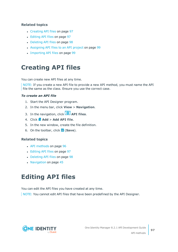- [Creating](#page-96-0) API files on page 97
- [Editing](#page-96-1) API files on page 97
- [Deleting](#page-97-0) API files on page 98
- [Assigning](#page-98-0) API files to an API project on page 99
- [Importing](#page-98-1) API files on page 99

## <span id="page-96-0"></span>**Creating API files**

You can create new API files at any time.

NOTE: If you create a new API file to provide a new API method, you must name the API file the same as the class. Ensure you use the correct case.

### *To create an API file*

- 1. Start the API Designer program.
- 2. In the menu bar, click **View** > **Navigation**.
- 3. In the navigation, click **API files**.
- 4. Click  $\mathbf{A}$  **Add** > **Add** API file.
- 5. In the new window, create the file definition.
- 6. On the toolbar, click (**Save**).

### **Related topics**

- API [methods](#page-95-0) on page 96
- [Editing](#page-96-1) API files on page 97
- [Deleting](#page-97-0) API files on page 98
- [Navigation](#page-44-0) on page 45

## <span id="page-96-1"></span>**Editing API files**

You can edit the API files you have created at any time.

NOTE: You cannot edit API files that have been predefined by the API Designer.

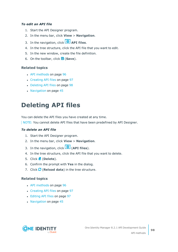### *To edit an API file*

- 1. Start the API Designer program.
- 2. In the menu bar, click **View** > **Navigation**.
- 3. In the navigation, click **API files**.
- 4. In the tree structure, click the API file that you want to edit.
- 5. In the new window, create the file definition.
- 6. On the toolbar, click (**Save**).

### **Related topics**

- API [methods](#page-95-0) on page 96
- [Creating](#page-96-0) API files on page 97
- [Deleting](#page-97-0) API files on page 98
- [Navigation](#page-44-0) on page 45

# <span id="page-97-0"></span>**Deleting API files**

You can delete the API files you have created at any time.

NOTE: You cannot delete API files that have been predefined by API Designer.

### *To delete an API file*

- 1. Start the API Designer program.
- 2. In the menu bar, click **View** > **Navigation**.
- 3. In the navigation, click (**API files**).
- 4. In the tree structure, click the API file that you want to delete.
- 5. Click (**Delete**).
- 6. Confirm the prompt with **Yes** in the dialog.
- 7. Click (**Reload data**) in the tree structure.

- API [methods](#page-95-0) on page 96
- [Creating](#page-96-0) API files on page 97
- [Editing](#page-96-1) API files on page 97
- $\cdot$  [Navigation](#page-44-0) on page 45

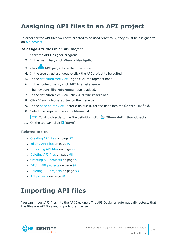# <span id="page-98-0"></span>**Assigning API files to an API project**

In order for the API files you have created to be used practically, they must be assigned to an API [project.](#page-90-1)

### *To assign API files to an API project*

- 1. Start the API Designer program.
- 2. In the menu bar, click **View** > **Navigation**.
- 3. Click **API projects** in the navigation.
- 4. In the tree structure, double-click the API project to be edited.
- 5. In the [definition](#page-53-0) tree view, right-click the topmost node.
- 6. In the context menu, click **API file reference**. The new **API file reference** node is added.
- 7. In the definition tree view, click **API file reference**.
- 8. Click **View** > **Node editor** on the menu bar.
- 9. In the node [editor](#page-58-0) view, enter a unique ID for the node into the **Control ID** field.
- 10. Select the required file in the **Name** list.

TIP: To skip directly to the file definition, click (**Show definition object**).

11. On the toolbar, click **in** (Save).

#### **Related topics**

- [Creating](#page-96-0) API files on page 97
- [Editing](#page-96-1) API files on page 97
- [Importing](#page-98-1) API files on page 99
- [Deleting](#page-97-0) API files on page 98
- [Creating](#page-90-0) API projects on page 91
- Editing API [projects](#page-91-0) on page 92
- [Deleting](#page-92-0) API projects on page 93
- <span id="page-98-1"></span>• API [projects](#page-90-1) on page 91

## **Importing API files**

You can import API files into the API Designer. The API Designer automatically detects that the files are API files and imports them as such.

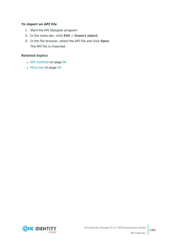### *To import an API file*

- 1. Start the API Designer program.
- 2. In the menu bar, click **Edit** > **Import object**.
- 3. In the file browser, select the API file and click **Open**. The API file is imported.

- API [methods](#page-95-0) on page 96
- $\cdot$  [Menu](#page-39-0) bar on page 40

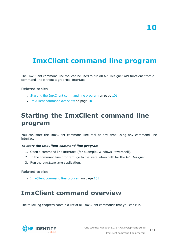# <span id="page-100-2"></span>**ImxClient command line program**

The ImxClient command line tool can be used to run all API Designer API functions from a command line without a graphical interface.

### **Related topics**

- Starting the ImxClient [command](#page-100-0) line program on page 101
- ImxClient [command](#page-100-1) overview on page 101

## <span id="page-100-0"></span>**Starting the ImxClient command line program**

You can start the ImxClient command line tool at any time using any command line interface.

#### *To start the lmxClient command line program*

- 1. Open a command line interface (for example, Windows Powershell).
- 2. In the command line program, go to the installation path for the API Designer.
- 3. Run the ImxClient.exe application.

### **Related topics**

<span id="page-100-1"></span>• ImxClient [command](#page-100-2) line program on page 101

## **ImxClient command overview**

The following chapters contain a list of all ImxClient commands that you can run.

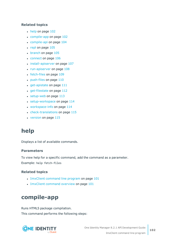- $\cdot$  help on [page](#page-101-0) 102
- [compile-app](#page-101-1) on page 102
- [compile-api](#page-103-0) on page 104
- $\cdot$  repl on [page](#page-104-0) 105
- [branch](#page-104-1) on page 105
- [connect](#page-105-0) on page 106
- [install-apiserver](#page-106-0) on page 107
- $\cdot$  [run-apiserver](#page-107-0) on page  $108$
- $\cdot$  [fetch-files](#page-108-0) on page  $109$
- $\cdot$  [push-files](#page-109-0) on page 110
- $\cdot$  [get-apistate](#page-110-0) on page 111
- $\cdot$  [get-filestate](#page-111-0) on page 112
- $\cdot$  [setup-web](#page-112-0) on page 113
- $\cdot$  [setup-workspace](#page-113-0) on page 114
- $\bullet$  [workspace-info](#page-113-1) on page 114
- $\cdot$  [check-translations](#page-114-0) on page 115
- $\cdot$  [version](#page-114-1) on page 115

## <span id="page-101-0"></span>**help**

Displays a list of available commands.

### **Parameters**

To view help for a specific command, add the command as a parameter. Example: help fetch-files

### **Related topics**

- ImxClient [command](#page-100-2) line program on page 101
- ImxClient [command](#page-100-1) overview on page 101

## <span id="page-101-1"></span>**compile-app**

Runs HTML5 package compilation. This command performs the following steps:

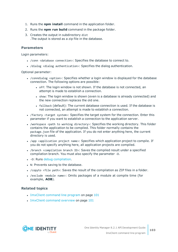- 1. Runs the **npm install** command in the application folder.
- 2. Runs the **npm run build** command in the package folder.
- 3. Creates the output in subdirectory dist .The output is stored as a zip file in the database.

### **Parameters**

Login parameters:

- / conn <database connection>: Specifies the database to connect to.
- /dialog <dialog authentication>: Specifies the dialog authentication.

Optional parameter:

- / conndialog <option>: Specifies whether a login window is displayed for the database connection. The following options are possible:
	- off: The login window is not shown. If the database is not connected, an attempt is made to establish a connection.
	- show: The login window is shown (even is a database is already connected) and the new connection replaces the old one.
	- fallback (default): The current database connection is used. If the database is not connected, an attempt is made to establish a connection.
- / factory <target system>: Specifies the target system for the connection. Enter this parameter if you want to establish a connection to the application server.
- /workspace <path to working directory>: Specifies the working directory. This folder contains the application to be compiled. This folder normally contains the package.json file of the application. If you do not enter anything here, the current directory is used.
- /app <application project name>: Specifies which application project to compile. If you do not specify anything here, all application projects are compiled.
- /branch <compilation branch ID>: Saves the compiled result under a specified compilation branch. You must also specify the parameter -D.
- -D: Runs debug [compilation](#page-80-2).
- . N: Prevents saving to the database.
- /copyto <file path>: Saves the result of the compilation as ZIP files in a folder.
- <sup>l</sup> /exclude <module name>: Omits packages of a module at compile time (for example, **AOB**).

- ImxClient [command](#page-100-2) line program on page 101
- ImxClient [command](#page-100-1) overview on page 101

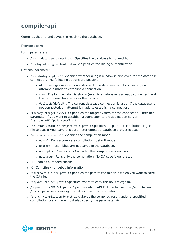## <span id="page-103-0"></span>**compile-api**

Compiles the API and saves the result to the database.

### **Parameters**

Login parameters:

- / conn <database connection>: Specifies the database to connect to.
- /dialog <dialog authentication>: Specifies the dialog authentication.

- / conndialog <option>: Specifies whether a login window is displayed for the database connection. The following options are possible:
	- off: The login window is not shown. If the database is not connected, an attempt is made to establish a connection.
	- show: The login window is shown (even is a database is already connected) and the new connection replaces the old one.
	- fallback (default): The current database connection is used. If the database is not connected, an attempt is made to establish a connection.
- /factory <target system>: Specifies the target system for the connection. Enter this parameter if you want to establish a connection to the application server. Example: QBM.AppServer.Client.
- / solution <solution project file path>: Specifies the path to the solution project file to use. If you leave this parameter empty, a database project is used.
- . /mode <compile mode>: Specifies the compilation mode:
	- normal: Runs a complete compilation (default mode).
	- nostore: Assemblies are not saved in the database.
	- nocompile: Creates only  $C#$  code. The compilation is not run.
	- nocodegen: Runs only the compilation. No  $C#$  code is generated.
- $\bullet$  -E: Enables extended checks.
- . -D: Compiles with debug information.
- /csharpout <folder path>: Specifies the path to the folder in which you want to save the C# files.
- / Copyapi <folder path>: Specifies where to copy the imx-api.tgz to.
- /copyapidll <API DLL path>: Specifies which API DLL file to use. The /solution and /branch parameters are ignored if you use this parameter.
- /branch <compilation branch ID>: Saves the compiled result under a specified compilation branch. You must also specify the parameter -D.

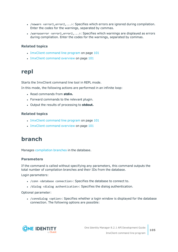- /nowarn < $error1$ ,  $error2$ , ...>: Specifies which errors are ignored during compilation. Enter the codes for the warnings, separated by commas.
- $\bullet$  /warnaserror <error1,error2,...>: Specifies which warnings are displayed as errors during compilation. Enter the codes for the warnings, separated by commas.

- ImxClient [command](#page-100-2) line program on page 101
- ImxClient [command](#page-100-1) overview on page 101

### <span id="page-104-0"></span>**repl**

Starts the ImxClient command line tool in REPL mode.

In this mode, the following actions are performed in an infinite loop:

- Read commands from stdin.
- Forward commands to the relevant plugin.
- <sup>l</sup> Output the results of processing to **stdout.**

### **Related topics**

- ImxClient [command](#page-100-2) line program on page 101
- ImxClient [command](#page-100-1) overview on page 101

## <span id="page-104-1"></span>**branch**

Manages [compilation](#page-84-0) branches in the database.

### **Parameters**

If the command is called without specifying any parameters, this command outputs the total number of compilation branches and their IDs from the database.

Login parameters:

- / conn <database connection>: Specifies the database to connect to.
- /dialog <dialog authentication>: Specifies the dialog authentication.

Optional parameter:

• / conndialog <option>: Specifies whether a login window is displayed for the database connection. The following options are possible:

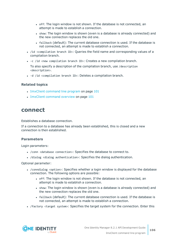- off: The login window is not shown. If the database is not connected, an attempt is made to establish a connection.
- show: The login window is shown (even is a database is already connected) and the new connection replaces the old one.
- fallback (default): The current database connection is used. If the database is not connected, an attempt is made to establish a connection.
- <sup>l</sup> /id <compilation branch ID>: Queries the field name and corresponding values of a compilation branch.
- $\bullet$  -c /id <new compilation branch ID>: Creates a new compilation branch.

To also specify a description of the compilation branch, use /description <description>.

<sup>l</sup> -d /id <compilation branch ID>: Deletes a compilation branch.

### **Related topics**

- ImxClient [command](#page-100-2) line program on page 101
- ImxClient [command](#page-100-1) overview on page 101

### <span id="page-105-0"></span>**connect**

Establishes a database connection.

If a connection to a database has already been established, this is closed and a new connection is then established.

### **Parameters**

Login parameters:

- / conn <database connection>: Specifies the database to connect to.
- /dialog <dialog authentication>: Specifies the dialog authentication.

- / conndialog <option>: Specifies whether a login window is displayed for the database connection. The following options are possible:
	- off: The login window is not shown. If the database is not connected, an attempt is made to establish a connection.
	- show: The login window is shown (even is a database is already connected) and the new connection replaces the old one.
	- fallback (default): The current database connection is used. If the database is not connected, an attempt is made to establish a connection.
- /factory <target system>: Specifies the target system for the connection. Enter this

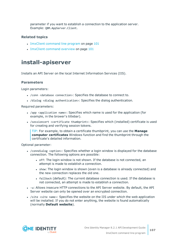parameter if you want to establish a connection to the application server. Example: QBM.AppServer.Client.

### **Related topics**

- ImxClient [command](#page-100-2) line program on page 101
- ImxClient [command](#page-100-1) overview on page 101

### <span id="page-106-0"></span>**install-apiserver**

Installs an API Server on the local Internet Information Services (IIS).

### **Parameters**

Login parameters:

- <sup>l</sup> /conn <database connection>: Specifies the database to connect to.
- <sup>l</sup> /dialog <dialog authentication>: Specifies the dialog authentication.

Required parameters:

- /app <application name>: Specifies which name is used for the application (for example, in the brower's titlebar).
- <sup>l</sup> /sessioncert <certificate thumbprint>: Specifies which (installed) certificate is used for creating and verifying session tokens.

TIP: For example, to obtain a certificate thumbprint, you can use the **Manage computer certificates** Windows function and find the thumbprint through the certificate's detailed information.

- / conndialog <option>: Specifies whether a login window is displayed for the database connection. The following options are possible:
	- off: The login window is not shown. If the database is not connected, an attempt is made to establish a connection.
	- show: The login window is shown (even is a database is already connected) and the new connection replaces the old one.
	- fallback (default): The current database connection is used. If the database is not connected, an attempt is made to establish a connection.
- <sup>l</sup> -u: Allows insecure HTTP connections to the API Server website. By default, the API Server website can only be opened over an encrypted connection.
- / site < site name>: Specifies the website on the IIS under which the web application will be installed. If you do not enter anything, the website is found automatically (normally **Default website**).

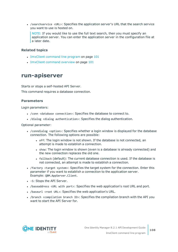• / searchservice <URL>: Specifies the application server's URL that the search service you want to use is hosted on.

NOTE: If you would like to use the full text search, then you must specify an application server. You can enter the application server in the configuration file at a later date.

### **Related topics**

- ImxClient [command](#page-100-2) line program on page 101
- ImxClient [command](#page-100-1) overview on page 101

### <span id="page-107-0"></span>**run-apiserver**

Starts or stops a self-hosted API Server.

This command requires a database connection.

### **Parameters**

Login parameters:

- / conn <database connection>: Specifies the database to connect to.
- /dialog <dialog authentication>: Specifies the dialog authentication.

- / conndialog <option>: Specifies whether a login window is displayed for the database connection. The following options are possible:
	- off: The login window is not shown. If the database is not connected, an attempt is made to establish a connection.
	- show: The login window is shown (even is a database is already connected) and the new connection replaces the old one.
	- fallback (default): The current database connection is used. If the database is not connected, an attempt is made to establish a connection.
- /factory <target system>: Specifies the target system for the connection. Enter this parameter if you want to establish a connection to the application server. Example: QBM.AppServer.Client.
- -S: Stops the API Server.
- <sup>l</sup> /baseaddress <URL with port>: Specifies the web application's root URL and port.
- /baseurl <root URL>: Specifies the web application's URL.
- <sup>l</sup> /branch <compilation branch ID>: Specifies the compilation branch with the API you want to start the API Server for.

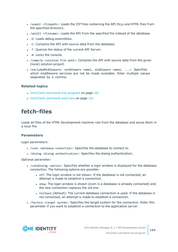- /asmdir <filepath>: Loads the ZIP files containing the API DLLs and HTML files from the specified directory.
- <sup>l</sup> /apidll <filename>: Loads the API from the specified file instead of the database.
- -D: Loads debug assemblies.
- -C: Compiles the API with source data from the database.
- . -T: Queries the status of the current API Server.
- $\bullet$  -B: Locks the console.
- /compile <solution file path>: Compiles the API with source data from the given (local) solution project.
- /excludedMiddlewares <middleware name1, middleware name2,  $\ldots$ ): Specifies which middleware services are not be made available. Enter multiple values separated by a comma.

#### **Related topics**

- ImxClient [command](#page-100-0) line program on page 101
- ImxClient [command](#page-100-1) overview on page 101

# <span id="page-108-0"></span>**fetch-files**

Loads all files of the HTML Development machine role from the database and saves them in a local file.

#### **Parameters**

Login parameters:

- / conn <database connection>: Specifies the database to connect to.
- <sup>l</sup> /dialog <dialog authentication>: Specifies the dialog authentication.

- / conndialog <option>: Specifies whether a login window is displayed for the database connection. The following options are possible:
	- off: The login window is not shown. If the database is not connected, an attempt is made to establish a connection.
	- show: The login window is shown (even is a database is already connected) and the new connection replaces the old one.
	- <sup>l</sup> fallback (default): The current database connection is used. If the database is not connected, an attempt is made to establish a connection.
- /factory <target system>: Specifies the target system for the connection. Enter this parameter if you want to establish a connection to the application server.

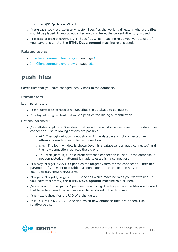Example: QBM.AppServer.Client.

- /workspace <working directory path>: Specifies the working directory where the files should be placed. If you do not enter anything here, the current directory is used.
- <sup>l</sup> /targets <target1;target2;...>: Specifies which machine roles you want to use. If you leave this empty, the **HTML Development** machine role is used.

### **Related topics**

- ImxClient [command](#page-100-0) line program on page 101
- ImxClient [command](#page-100-1) overview on page 101

# <span id="page-109-0"></span>**push-files**

Saves files that you have changed locally back to the database.

### **Parameters**

Login parameters:

- / conn <database connection>: Specifies the database to connect to.
- /dialog <dialog authentication>: Specifies the dialog authentication.

- / conndialog <option>: Specifies whether a login window is displayed for the database connection. The following options are possible:
	- off: The login window is not shown. If the database is not connected, an attempt is made to establish a connection.
	- show: The login window is shown (even is a database is already connected) and the new connection replaces the old one.
	- fallback (default): The current database connection is used. If the database is not connected, an attempt is made to establish a connection.
- /factory <target system>: Specifies the target system for the connection. Enter this parameter if you want to establish a connection to the application server. Example: QBM.AppServer.Client.
- /targets <target1;target2;...>: Specifies which machine roles you want to use. If you leave this empty, the **HTML Development** machine role is used.
- /workspace <folder path>: Specifies the working directory where the files are located that have been modified and are now to be stored in the database.
- $\bullet$  /tag <uid>: Specifies the UID of a change tag.
- <sup>l</sup> /add <file1;file2;...>: Specifies which new database files are added. Use relative paths.

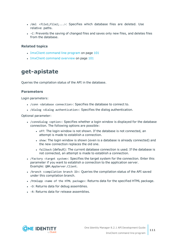- <sup>l</sup> /del <file1;file2;...>: Specifies which database files are deleted. Use relative paths.
- -C: Prevents the saving of changed files and saves only new files, and deletes files from the database.

#### **Related topics**

- ImxClient [command](#page-100-0) line program on page 101
- ImxClient [command](#page-100-1) overview on page 101

# <span id="page-110-0"></span>**get-apistate**

Queries the compilation status of the API in the database.

### **Parameters**

Login parameters:

- / conn <database connection>: Specifies the database to connect to.
- <sup>l</sup> /dialog <dialog authentication>: Specifies the dialog authentication.

- / conndialog <option>: Specifies whether a login window is displayed for the database connection. The following options are possible:
	- off: The login window is not shown. If the database is not connected, an attempt is made to establish a connection.
	- show: The login window is shown (even is a database is already connected) and the new connection replaces the old one.
	- fallback (default): The current database connection is used. If the database is not connected, an attempt is made to establish a connection.
- /factory <target system>: Specifies the target system for the connection. Enter this parameter if you want to establish a connection to the application server. Example: QBM.AppServer.Client.
- /branch <compilation branch ID>: Queries the compilation status of the API saved under this compilation branch.
- /htmlapp <name of the HTML package>: Returns data for the specified HTML package.
- . -D: Returns data for debug assemblies.
- -R: Returns data for release assemblies.

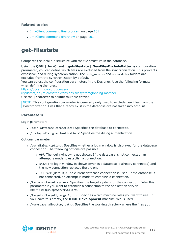### **Related topics**

- ImxClient [command](#page-100-0) line program on page 101
- ImxClient [command](#page-100-1) overview on page 101

# <span id="page-111-0"></span>**get-filestate**

Compares the local file structure with the file structure in the database.

Using the **QBM | ImxClient | get-filestate | NewFilesExcludePatterns** configuration parameter, you can define which files are excluded from the synchronization. This prevents excessive load during synchronization. The node modules and imx-modules folders are excluded from the synchronization by default.

You can adjust the configuration parameters in the Designer. Use the following formats when defining the rules:

[https://docs.microsoft.com/en](https://docs.microsoft.com/en-us/dotnet/api/microsoft.extensions.filesystemglobbing.matcher)[us/dotnet/api/microsoft.extensions.filesystemglobbing.matcher](https://docs.microsoft.com/en-us/dotnet/api/microsoft.extensions.filesystemglobbing.matcher)

Use the **|** character to delimit multiple entries.

NOTE: This configuration parameter is generally only used to exclude new files from the synchronization. Files that already exist in the database are not taken into account.

### **Parameters**

Login parameters:

- / conn <database connection>: Specifies the database to connect to.
- <sup>l</sup> /dialog <dialog authentication>: Specifies the dialog authentication.

- / conndialog <option>: Specifies whether a login window is displayed for the database connection. The following options are possible:
	- off: The login window is not shown. If the database is not connected, an attempt is made to establish a connection.
	- show: The login window is shown (even is a database is already connected) and the new connection replaces the old one.
	- fallback (default): The current database connection is used. If the database is not connected, an attempt is made to establish a connection.
- / factory <target system>: Specifies the target system for the connection. Enter this parameter if you want to establish a connection to the application server. Example: QBM.AppServer.Client.
- /targets <target1;target2;...>: Specifies which machine roles you want to use. If you leave this empty, the **HTML Development** machine role is used.
- /workspace <directory path>: Specifies the working directory where the files you

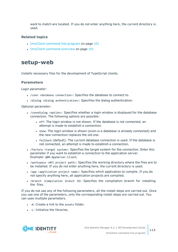want to match are located. If you do not enter anything here, the current directory is used.

### **Related topics**

- ImxClient [command](#page-100-0) line program on page 101
- ImxClient [command](#page-100-1) overview on page 101

## <span id="page-112-0"></span>**setup-web**

Installs necessary files for the development of TypeScript clients.

### **Parameters**

Login parameter:

- <sup>l</sup> /conn <database connection>: Specifies the database to connect to.
- <sup>l</sup> /dialog <dialog authentication>: Specifies the dialog authentication.

Optional parameter:

- / conndialog <option>: Specifies whether a login window is displayed for the database connection. The following options are possible:
	- off: The login window is not shown. If the database is not connected, an attempt is made to establish a connection.
	- show: The login window is shown (even is a database is already connected) and the new connection replaces the old one.
	- fallback (default): The current database connection is used. If the database is not connected, an attempt is made to establish a connection.
- /factory <target system>: Specifies the target system for the connection. Enter this parameter if you want to establish a connection to the application server. Example: QBM.AppServer.Client.
- /workspace <API project path>: Specifies the working directory where the files are to be installed. If you do not enter anything here, the current directory is used.
- /app <application project name>: Specifies which application to compile. If you do not specify anything here, all application projects are compiled.
- /branch <Compilation branch ID> Specifies the compilation branch for installing the files.

If you do not use any of the following parameters, all the install steps are carried out. Once you use one of the parameters, only the corresponding install steps are carried out. You can uses multiple parameters.

- - A: Create a link to the assets folder.
- - L: Initialize the libraries.

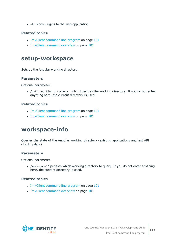• -P: Binds Plugins to the web application.

### **Related topics**

- ImxClient [command](#page-100-0) line program on page 101
- ImxClient [command](#page-100-1) overview on page 101

# <span id="page-113-0"></span>**setup-workspace**

Sets up the Angular working directory.

### **Parameters**

Optional parameter:

• /path <working directory path>: Specifies the working directory. If you do not enter anything here, the current directory is used.

### **Related topics**

- ImxClient [command](#page-100-0) line program on page 101
- ImxClient [command](#page-100-1) overview on page 101

# <span id="page-113-1"></span>**workspace-info**

Queries the state of the Angular working directory (existing applications and last API client update).

### **Parameters**

Optional parameter:

• /workspace: Specifies which working directory to query. If you do not enter anything here, the current directory is used.

### **Related topics**

- ImxClient [command](#page-100-0) line program on page 101
- ImxClient [command](#page-100-1) overview on page 101

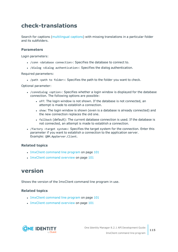# <span id="page-114-0"></span>**check-translations**

Search for captions ([multilingual](#page-66-0) captions) with missing translations in a particular folder and its subfolders.

### **Parameters**

Login parameters:

- / conn <database connection>: Specifies the database to connect to.
- <sup>l</sup> /dialog <dialog authentication>: Specifies the dialog authentication.

Required parameters:

• /path <path to folder>: Specifies the path to the folder you want to check.

Optional parameter:

- / conndialog <option>: Specifies whether a login window is displayed for the database connection. The following options are possible:
	- off: The login window is not shown. If the database is not connected, an attempt is made to establish a connection.
	- show: The login window is shown (even is a database is already connected) and the new connection replaces the old one.
	- fallback (default): The current database connection is used. If the database is not connected, an attempt is made to establish a connection.
- /factory <target system>: Specifies the target system for the connection. Enter this parameter if you want to establish a connection to the application server. Example: QBM.AppServer.Client.

### **Related topics**

- ImxClient [command](#page-100-0) line program on page 101
- ImxClient [command](#page-100-1) overview on page 101

## <span id="page-114-1"></span>**version**

Shows the version of the ImxClient command line program in use.

### **Related topics**

- ImxClient [command](#page-100-0) line program on page 101
- ImxClient [command](#page-100-1) overview on page 101

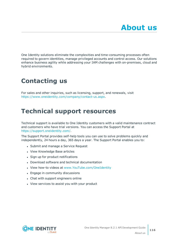One Identity solutions eliminate the complexities and time-consuming processes often required to govern identities, manage privileged accounts and control access. Our solutions enhance business agility while addressing your IAM challenges with on-premises, cloud and hybrid environments.

# **Contacting us**

For sales and other inquiries, such as licensing, support, and renewals, visit <https://www.oneidentity.com/company/contact-us.aspx>.

# **Technical support resources**

Technical support is available to One Identity customers with a valid maintenance contract and customers who have trial versions. You can access the Support Portal at [https://support.oneidentity.com/.](https://support.oneidentity.com/)

The Support Portal provides self-help tools you can use to solve problems quickly and independently, 24 hours a day, 365 days a year. The Support Portal enables you to:

- Submit and manage a Service Request
- View Knowledge Base articles
- Sign up for product notifications
- Download software and technical documentation
- View how-to videos at [www.YouTube.com/OneIdentity](http://www.youtube.com/OneIdentity)
- Engage in community discussions
- Chat with support engineers online
- View services to assist you with your product

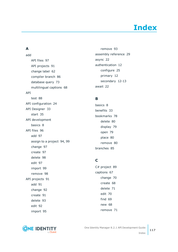# **Index**

## **A**

add API files [97](#page-96-0) API projects [91](#page-90-0) change label [62](#page-61-0) compiler branch [86](#page-85-0) database query [73](#page-72-0) multilingual captions [68](#page-67-0) API test [88](#page-87-0) API configuration [24](#page-23-0) API Designer [33](#page-32-0) start [35](#page-34-0) API development basics [8](#page-7-0) API files [96](#page-95-0) add [97](#page-96-0) assign to a project [94,](#page-93-0) [99](#page-98-0) change [97](#page-96-1) create [97](#page-96-0) delete [98](#page-97-0) edit [97](#page-96-1) import [99](#page-98-1) remove [98](#page-97-0) API projects [91](#page-90-1) add [91](#page-90-0) change [92](#page-91-0) create [91](#page-90-0) delete [93](#page-92-0) edit [92](#page-91-0) import [95](#page-94-0)

remove [93](#page-92-0) assembly reference [29](#page-28-0) async [22](#page-21-0) authentication [12](#page-11-0) configure [25](#page-24-0) primary [12](#page-11-0) secondary [12-13](#page-11-0) await [22](#page-21-0)

### **B**

basics [8](#page-7-0) benefits [33](#page-32-1) bookmarks [78](#page-77-0) delete [80](#page-79-0) display [79](#page-78-0) open [79](#page-78-0) place [80](#page-79-1) remove [80](#page-79-0) branches [85](#page-84-0)

## **C**

C# project [89](#page-88-0) captions [67](#page-66-0) change [70](#page-69-0) create [68](#page-67-0) delete [71](#page-70-0) edit [70](#page-69-0) find [69](#page-68-0) new [68](#page-67-0) remove [71](#page-70-0)

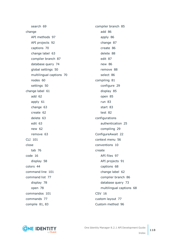search [69](#page-68-0) change API methods [97](#page-96-1) API projects [92](#page-91-0) captions [70](#page-69-0) change label [63](#page-62-0) compiler branch [87](#page-86-0) database query [74](#page-73-0) global settings [50](#page-49-0) multilingual captions [70](#page-69-0) nodes [60](#page-59-0) settings [50](#page-49-0) change label [61](#page-60-0) add [62](#page-61-0) apply [61](#page-60-1) change [63](#page-62-0) create [62](#page-61-0) delete [63](#page-62-1) edit [63](#page-62-0) new [62](#page-61-0) remove [63](#page-62-1) CLI [101](#page-100-0) close tab [76](#page-75-0) code [16](#page-15-0) display [58](#page-57-0) colors [44](#page-43-0) command line [101](#page-100-0) command list [77](#page-76-0) display [78](#page-77-1) open [78](#page-77-1) commandos [101](#page-100-1) commands [77](#page-76-0) compile [81](#page-80-0), [83](#page-82-0)

compiler branch [85](#page-84-0) add [86](#page-85-0) apply [86](#page-85-1) change [87](#page-86-0) create [86](#page-85-0) delete [88](#page-87-1) edit [87](#page-86-0) new [86](#page-85-0) remove [88](#page-87-1) select [86](#page-85-1) compiling [81](#page-80-0) configure [29](#page-28-0) display [85](#page-84-1) open [85](#page-84-1) run [83](#page-82-0) start [83](#page-82-0) test [82](#page-81-0) configurations authentication [25](#page-24-0) compiling [29](#page-28-0) ConfigureAwait [22](#page-21-0) context menu [56](#page-55-0) conventions [10](#page-9-0) create API files [97](#page-96-0) API projects [91](#page-90-0) captions [68](#page-67-0) change label [62](#page-61-0) compiler branch [86](#page-85-0) database query [73](#page-72-0) multilingual captions [68](#page-67-0) CSV [16](#page-15-1) custom layout [77](#page-76-1) Custom method [96](#page-95-1)

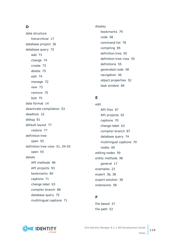## **D**

data structure hierarchical [17](#page-16-0) database project [36](#page-35-0) database query [72](#page-71-0) add [73](#page-72-0) change [74](#page-73-0) create [73](#page-72-0) delete [75](#page-74-0) edit [74](#page-73-0) manage [72](#page-71-0) new [73](#page-72-0) remove [75](#page-74-0) test [75](#page-74-1) date format [14](#page-13-0) deactivate compilation [53](#page-52-0) deadlock [22](#page-21-0) debug [81](#page-80-0) default layout [77](#page-76-1) restore [77](#page-76-1) definition tree open [55](#page-54-0) definition tree view [51](#page-50-0), [54-55](#page-53-0) open [55](#page-54-0) delete API methods [98](#page-97-0) API projects [93](#page-92-0) bookmarks [80](#page-79-0) captions [71](#page-70-0) change label [63](#page-62-1) compiler branch [88](#page-87-1) database query [75](#page-74-0) multilingual captions [71](#page-70-0)

display bookmarks [79](#page-78-0) code [58](#page-57-0) command list [78](#page-77-1) compiling [85](#page-84-1) definition tree [55](#page-54-0) definition tree view [55](#page-54-0) definitions [55](#page-54-0) generated code [58](#page-57-0) navigation [46](#page-45-0) object properties [52](#page-51-0) task window [84](#page-83-0)

## **E**

edit API files [97](#page-96-1) API projects [92](#page-91-0) captions [70](#page-69-0) change label [63](#page-62-0) compiler branch [87](#page-86-0) database query [74](#page-73-0) multilingual captions [70](#page-69-0) nodes [60](#page-59-0) editing nodes [59](#page-58-0) entity methods [96](#page-95-2) general [17](#page-16-0) examples [23](#page-22-0) export [36](#page-35-1), [38](#page-37-0) export solution [38](#page-37-0) extensions [58](#page-57-1)

## **F**

file based [37](#page-36-0) file path [53](#page-52-0)

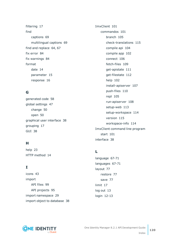filtering [17](#page-16-0) find captions [69](#page-68-0) multilingual captions [69](#page-68-0) find and replace [64,](#page-63-0) [67](#page-66-1) fix error [84](#page-83-1) fix warnings [84](#page-83-1) format date [14](#page-13-0) parameter [15](#page-14-0) response [16](#page-15-1)

## **G**

generated code [58](#page-57-0) global settings [47](#page-46-0) change [50](#page-49-0) open [50](#page-49-0) graphical user interface [38](#page-37-1) grouping [17](#page-16-0) GUI [38](#page-37-1)

## **H**

help [23](#page-22-0) HTTP method [14](#page-13-1)

## **I**

icons [43](#page-42-0) import API files [99](#page-98-1) API projects [95](#page-94-0) import namespace [29](#page-28-0) import object to database [38](#page-37-0) ImxClient [101](#page-100-0) commandos [101](#page-100-1) branch [105](#page-104-0) check-translations [115](#page-114-0) compile api [104](#page-103-0) compile app [102](#page-101-0) connect [106](#page-105-0) fetch-files [109](#page-108-0) get-apistate [111](#page-110-0) get-filestate [112](#page-111-0) help [102](#page-101-1) install-apiserver [107](#page-106-0) push-files [110](#page-109-0) repl [105](#page-104-1) run-apiserver [108](#page-107-0) setup-web [113](#page-112-0) setup-workspace [114](#page-113-0) version [115](#page-114-1) workspace-info [114](#page-113-1) ImxClient command line program start [101](#page-100-2) interface [38](#page-37-1)

## **L**

language [67-71](#page-66-0) languages [67-71](#page-66-0) layout [77](#page-76-1) restore [77](#page-76-1) save [77](#page-76-1) limit [17](#page-16-0) log out [13](#page-12-0) login [12-13](#page-11-1)

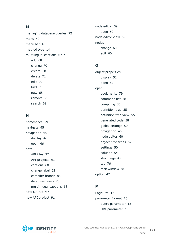### **M**

managing database queries [72](#page-71-0) menu [40](#page-39-0) menu bar [40](#page-39-0) method type [14](#page-13-1) multilingual captions [67-71](#page-66-0) add [68](#page-67-0) change [70](#page-69-0) create [68](#page-67-0) delete [71](#page-70-0) edit [70](#page-69-0) find [69](#page-68-0) new [68](#page-67-0) remove [71](#page-70-0) search [69](#page-68-0)

## **N**

namespace [29](#page-28-0) navigate [45](#page-44-0) navigation [45](#page-44-0) display [46](#page-45-0) open [46](#page-45-0) new API files [97](#page-96-0) API projects [91](#page-90-0) captions [68](#page-67-0) change label [62](#page-61-0) compiler branch [86](#page-85-0) database query [73](#page-72-0) multilingual captions [68](#page-67-0) new API file [97](#page-96-0) new API project [91](#page-90-0)

node editor [59](#page-58-0) open [60](#page-59-1) node editor view [59](#page-58-0) nodes change [60](#page-59-0) edit [60](#page-59-0)

## **O**

object properties [51](#page-50-1) display [52](#page-51-0) open [52](#page-51-0) open bookmarks [79](#page-78-0) command list [78](#page-77-1) compiling [85](#page-84-1) definition tree [55](#page-54-0) definition tree view [55](#page-54-0) generated code [58](#page-57-0) global settings [50](#page-49-0) navigation [46](#page-45-0) node editor [60](#page-59-1) object properties [52](#page-51-0) settings [50](#page-49-0) solution [54](#page-53-1) start page [47](#page-46-1) tab [76](#page-75-0) task window [84](#page-83-0) option [47](#page-46-0)

## **P**

PageSize [17](#page-16-0) parameter format [15](#page-14-0) query parameter [15](#page-14-1) URL parameter [15](#page-14-2)



One Identity Manager 8.2.1 API Development Guide Index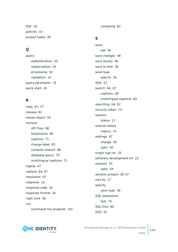PDF [16](#page-15-1) policies [10](#page-9-0) project types [36](#page-35-0)

## **Q**

query authentication [10](#page-9-1) authorization [10](#page-9-1) processing [10](#page-9-1) validation [10](#page-9-1) query parameter [15](#page-14-1) quick start [34](#page-33-0)

## **R**

redo [47,](#page-46-0) [77](#page-76-0) release [81](#page-80-0) reload object [53](#page-52-0) remove API files [98](#page-97-0) bookmarks [80](#page-79-0) captions [71](#page-70-0) change label [63](#page-62-1) compiler branch [88](#page-87-1) database query [75](#page-74-0) multilingual captions [71](#page-70-0) repeat [47](#page-46-0) replace [64](#page-63-0), [67](#page-66-1) resolution [47](#page-46-0) response [16](#page-15-0) response code [16](#page-15-0) response format [16](#page-15-1) right click [56](#page-55-0) run command line program [101](#page-100-2) compiling [83](#page-82-0)

## **S**

save tab [76](#page-75-0) save changes [38](#page-37-0) save locally [36](#page-35-1) save to disk [36](#page-35-1) save type specify [36](#page-35-1) SDK [23](#page-22-0) search [64,](#page-63-0) [67](#page-66-1) captions [69](#page-68-0) multilingual captions [69](#page-68-0) searching [64,](#page-63-0) [67](#page-66-1) security token [13](#page-12-1) session status [13](#page-12-1) session status inquiry [14](#page-13-2) settings [47](#page-46-0) change [50](#page-49-0) open [50](#page-49-0) single sign-on [25](#page-24-0) software development kit [23](#page-22-0) solution [53](#page-52-0) open [54](#page-53-1) solution project [36-37](#page-35-0) sort by [17](#page-16-0) specify save type [36](#page-35-1) SQL expression test [75](#page-74-1) SQL files [96](#page-95-3) SSO [25](#page-24-0)